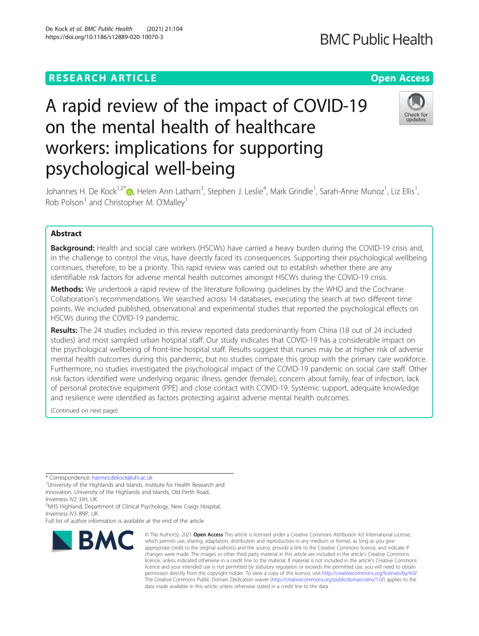# **RESEARCH ARTICLE Example 2014 12:30 The Contract of Contract ACCESS**

# A rapid review of the impact of COVID-19 on the mental health of healthcare workers: implications for supporting psychological well-being

Johannes H. De Kock<sup>1[,](http://orcid.org/0000-0002-2468-5572)2\*</sup>®, Helen Ann Latham<sup>3</sup>, Stephen J. Leslie<sup>4</sup>, Mark Grindle<sup>1</sup>, Sarah-Anne Munoz<sup>1</sup>, Liz Ellis<sup>1</sup> , Rob Polson<sup>1</sup> and Christopher M. O'Malley<sup>1</sup>

# Abstract

**Background:** Health and social care workers (HSCWs) have carried a heavy burden during the COVID-19 crisis and, in the challenge to control the virus, have directly faced its consequences. Supporting their psychological wellbeing continues, therefore, to be a priority. This rapid review was carried out to establish whether there are any identifiable risk factors for adverse mental health outcomes amongst HSCWs during the COVID-19 crisis.

Methods: We undertook a rapid review of the literature following quidelines by the WHO and the Cochrane Collaboration's recommendations. We searched across 14 databases, executing the search at two different time points. We included published, observational and experimental studies that reported the psychological effects on HSCWs during the COVID-19 pandemic.

Results: The 24 studies included in this review reported data predominantly from China (18 out of 24 included studies) and most sampled urban hospital staff. Our study indicates that COVID-19 has a considerable impact on the psychological wellbeing of front-line hospital staff. Results suggest that nurses may be at higher risk of adverse mental health outcomes during this pandemic, but no studies compare this group with the primary care workforce. Furthermore, no studies investigated the psychological impact of the COVID-19 pandemic on social care staff. Other risk factors identified were underlying organic illness, gender (female), concern about family, fear of infection, lack of personal protective equipment (PPE) and close contact with COVID-19. Systemic support, adequate knowledge and resilience were identified as factors protecting against adverse mental health outcomes.

> changes were made. The images or other third party material in this article are included in the article's Creative Commons licence, unless indicated otherwise in a credit line to the material. If material is not included in the article's Creative Commons licence and your intended use is not permitted by statutory regulation or exceeds the permitted use, you will need to obtain permission directly from the copyright holder. To view a copy of this licence, visit [http://creativecommons.org/licenses/by/4.0/.](http://creativecommons.org/licenses/by/4.0/) The Creative Commons Public Domain Dedication waiver [\(http://creativecommons.org/publicdomain/zero/1.0/](http://creativecommons.org/publicdomain/zero/1.0/)) applies to the

data made available in this article, unless otherwise stated in a credit line to the data.

(Continued on next page)

\* Correspondence: [hannes.dekock@uhi.ac.uk](mailto:hannes.dekock@uhi.ac.uk) <sup>1</sup>

<sup>1</sup>University of the Highlands and Islands, Institute for Health Research and Innovation, University of the Highlands and Islands, Old Perth Road, Inverness IV2 3JH, UK

<sup>2</sup>NHS Highland, Department of Clinical Psychology, New Craigs Hospital, Inverness IV3 8NP, UK

Full list of author information is available at the end of the article





# **BMC Public Health**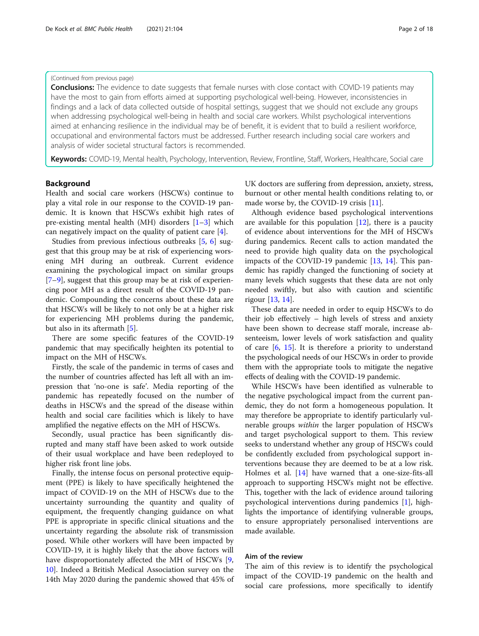#### (Continued from previous page)

**Conclusions:** The evidence to date suggests that female nurses with close contact with COVID-19 patients may have the most to gain from efforts aimed at supporting psychological well-being. However, inconsistencies in findings and a lack of data collected outside of hospital settings, suggest that we should not exclude any groups when addressing psychological well-being in health and social care workers. Whilst psychological interventions aimed at enhancing resilience in the individual may be of benefit, it is evident that to build a resilient workforce, occupational and environmental factors must be addressed. Further research including social care workers and analysis of wider societal structural factors is recommended.

Keywords: COVID-19, Mental health, Psychology, Intervention, Review, Frontline, Staff, Workers, Healthcare, Social care

# Background

Health and social care workers (HSCWs) continue to play a vital role in our response to the COVID-19 pandemic. It is known that HSCWs exhibit high rates of pre-existing mental health (MH) disorders [[1](#page-15-0)–[3\]](#page-15-0) which can negatively impact on the quality of patient care [\[4](#page-15-0)].

Studies from previous infectious outbreaks [\[5](#page-16-0), [6](#page-16-0)] suggest that this group may be at risk of experiencing worsening MH during an outbreak. Current evidence examining the psychological impact on similar groups [[7](#page-16-0)–[9\]](#page-16-0), suggest that this group may be at risk of experiencing poor MH as a direct result of the COVID-19 pandemic. Compounding the concerns about these data are that HSCWs will be likely to not only be at a higher risk for experiencing MH problems during the pandemic, but also in its aftermath [\[5\]](#page-16-0).

There are some specific features of the COVID-19 pandemic that may specifically heighten its potential to impact on the MH of HSCWs.

Firstly, the scale of the pandemic in terms of cases and the number of countries affected has left all with an impression that 'no-one is safe'. Media reporting of the pandemic has repeatedly focused on the number of deaths in HSCWs and the spread of the disease within health and social care facilities which is likely to have amplified the negative effects on the MH of HSCWs.

Secondly, usual practice has been significantly disrupted and many staff have been asked to work outside of their usual workplace and have been redeployed to higher risk front line jobs.

Finally, the intense focus on personal protective equipment (PPE) is likely to have specifically heightened the impact of COVID-19 on the MH of HSCWs due to the uncertainty surrounding the quantity and quality of equipment, the frequently changing guidance on what PPE is appropriate in specific clinical situations and the uncertainty regarding the absolute risk of transmission posed. While other workers will have been impacted by COVID-19, it is highly likely that the above factors will have disproportionately affected the MH of HSCWs [[9](#page-16-0), [10\]](#page-16-0). Indeed a British Medical Association survey on the 14th May 2020 during the pandemic showed that 45% of UK doctors are suffering from depression, anxiety, stress, burnout or other mental health conditions relating to, or made worse by, the COVID-19 crisis [[11\]](#page-16-0).

Although evidence based psychological interventions are available for this population  $[12]$ , there is a paucity of evidence about interventions for the MH of HSCWs during pandemics. Recent calls to action mandated the need to provide high quality data on the psychological impacts of the COVID-19 pandemic [[13](#page-16-0), [14](#page-16-0)]. This pandemic has rapidly changed the functioning of society at many levels which suggests that these data are not only needed swiftly, but also with caution and scientific rigour [[13,](#page-16-0) [14\]](#page-16-0).

These data are needed in order to equip HSCWs to do their job effectively – high levels of stress and anxiety have been shown to decrease staff morale, increase absenteeism, lower levels of work satisfaction and quality of care [[6,](#page-16-0) [15](#page-16-0)]. It is therefore a priority to understand the psychological needs of our HSCWs in order to provide them with the appropriate tools to mitigate the negative effects of dealing with the COVID-19 pandemic.

While HSCWs have been identified as vulnerable to the negative psychological impact from the current pandemic, they do not form a homogeneous population. It may therefore be appropriate to identify particularly vulnerable groups within the larger population of HSCWs and target psychological support to them. This review seeks to understand whether any group of HSCWs could be confidently excluded from psychological support interventions because they are deemed to be at a low risk. Holmes et al. [\[14](#page-16-0)] have warned that a one-size-fits-all approach to supporting HSCWs might not be effective. This, together with the lack of evidence around tailoring psychological interventions during pandemics [[1\]](#page-15-0), highlights the importance of identifying vulnerable groups, to ensure appropriately personalised interventions are made available.

# Aim of the review

The aim of this review is to identify the psychological impact of the COVID-19 pandemic on the health and social care professions, more specifically to identify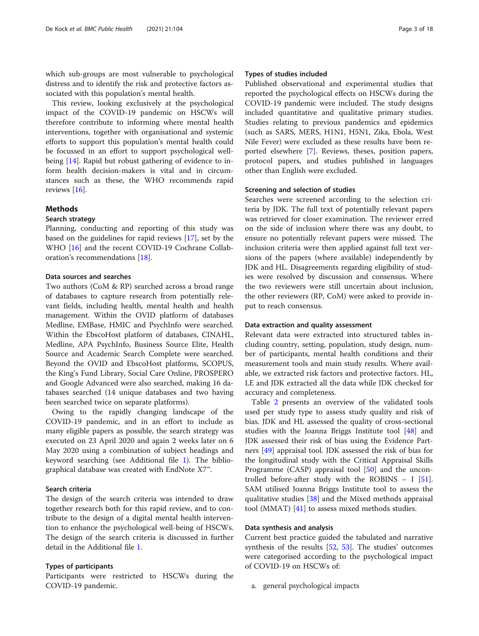which sub-groups are most vulnerable to psychological distress and to identify the risk and protective factors associated with this population's mental health.

This review, looking exclusively at the psychological impact of the COVID-19 pandemic on HSCWs will therefore contribute to informing where mental health interventions, together with organisational and systemic efforts to support this population's mental health could be focussed in an effort to support psychological wellbeing [\[14](#page-16-0)]. Rapid but robust gathering of evidence to inform health decision-makers is vital and in circumstances such as these, the WHO recommends rapid reviews [[16\]](#page-16-0).

# Methods

# Search strategy

Planning, conducting and reporting of this study was based on the guidelines for rapid reviews [\[17\]](#page-16-0), set by the WHO [[16](#page-16-0)] and the recent COVID-19 Cochrane Collaboration's recommendations [\[18](#page-16-0)].

# Data sources and searches

Two authors (CoM & RP) searched across a broad range of databases to capture research from potentially relevant fields, including health, mental health and health management. Within the OVID platform of databases Medline, EMBase, HMIC and PsychInfo were searched. Within the EbscoHost platform of databases, CINAHL, Medline, APA PsychInfo, Business Source Elite, Health Source and Academic Search Complete were searched. Beyond the OVID and EbscoHost platforms, SCOPUS, the King's Fund Library, Social Care Online, PROSPERO and Google Advanced were also searched, making 16 databases searched (14 unique databases and two having been searched twice on separate platforms).

Owing to the rapidly changing landscape of the COVID-19 pandemic, and in an effort to include as many eligible papers as possible, the search strategy was executed on 23 April 2020 and again 2 weeks later on 6 May 2020 using a combination of subject headings and keyword searching (see Additional file [1\)](#page-15-0). The bibliographical database was created with EndNote X7™.

#### Search criteria

The design of the search criteria was intended to draw together research both for this rapid review, and to contribute to the design of a digital mental health intervention to enhance the psychological well-being of HSCWs. The design of the search criteria is discussed in further detail in the Additional file [1.](#page-15-0)

#### Types of participants

Participants were restricted to HSCWs during the COVID-19 pandemic.

#### Types of studies included

Published observational and experimental studies that reported the psychological effects on HSCWs during the COVID-19 pandemic were included. The study designs included quantitative and qualitative primary studies. Studies relating to previous pandemics and epidemics (such as SARS, MERS, H1N1, H5N1, Zika, Ebola, West Nile Fever) were excluded as these results have been reported elsewhere [[7\]](#page-16-0). Reviews, theses, position papers, protocol papers, and studies published in languages other than English were excluded.

#### Screening and selection of studies

Searches were screened according to the selection criteria by JDK. The full text of potentially relevant papers was retrieved for closer examination. The reviewer erred on the side of inclusion where there was any doubt, to ensure no potentially relevant papers were missed. The inclusion criteria were then applied against full text versions of the papers (where available) independently by JDK and HL. Disagreements regarding eligibility of studies were resolved by discussion and consensus. Where the two reviewers were still uncertain about inclusion, the other reviewers (RP, CoM) were asked to provide input to reach consensus.

# Data extraction and quality assessment

Relevant data were extracted into structured tables including country, setting, population, study design, number of participants, mental health conditions and their measurement tools and main study results. Where available, we extracted risk factors and protective factors. HL, LE and JDK extracted all the data while JDK checked for accuracy and completeness.

Table [2](#page-7-0) presents an overview of the validated tools used per study type to assess study quality and risk of bias. JDK and HL assessed the quality of cross-sectional studies with the Joanna Briggs Institute tool [[48](#page-17-0)] and JDK assessed their risk of bias using the Evidence Partners [\[49](#page-17-0)] appraisal tool. JDK assessed the risk of bias for the longitudinal study with the Critical Appraisal Skills Programme (CASP) appraisal tool [[50](#page-17-0)] and the uncontrolled before-after study with the ROBINS – I [\[51](#page-17-0)]. SAM utilised Joanna Briggs Institute tool to assess the qualitative studies [[38](#page-16-0)] and the Mixed methods appraisal tool (MMAT) [[41\]](#page-16-0) to assess mixed methods studies.

#### Data synthesis and analysis

Current best practice guided the tabulated and narrative synthesis of the results [[52,](#page-17-0) [53\]](#page-17-0). The studies' outcomes were categorised according to the psychological impact of COVID-19 on HSCWs of:

a. general psychological impacts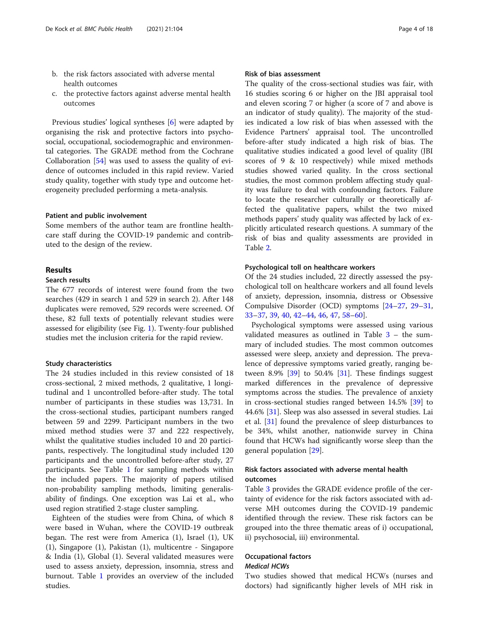- b. the risk factors associated with adverse mental health outcomes
- c. the protective factors against adverse mental health outcomes

Previous studies' logical syntheses [\[6](#page-16-0)] were adapted by organising the risk and protective factors into psychosocial, occupational, sociodemographic and environmental categories. The GRADE method from the Cochrane Collaboration [\[54](#page-17-0)] was used to assess the quality of evidence of outcomes included in this rapid review. Varied study quality, together with study type and outcome heterogeneity precluded performing a meta-analysis.

#### Patient and public involvement

Some members of the author team are frontline healthcare staff during the COVID-19 pandemic and contributed to the design of the review.

### Results

# Search results

The 677 records of interest were found from the two searches (429 in search 1 and 529 in search 2). After 148 duplicates were removed, 529 records were screened. Of these, 82 full texts of potentially relevant studies were assessed for eligibility (see Fig. [1\)](#page-4-0). Twenty-four published studies met the inclusion criteria for the rapid review.

# Study characteristics

The 24 studies included in this review consisted of 18 cross-sectional, 2 mixed methods, 2 qualitative, 1 longitudinal and 1 uncontrolled before-after study. The total number of participants in these studies was 13,731. In the cross-sectional studies, participant numbers ranged between 59 and 2299. Participant numbers in the two mixed method studies were 37 and 222 respectively, whilst the qualitative studies included 10 and 20 participants, respectively. The longitudinal study included 120 participants and the uncontrolled before-after study, 27 participants. See Table [1](#page-5-0) for sampling methods within the included papers. The majority of papers utilised non-probability sampling methods, limiting generalisability of findings. One exception was Lai et al., who used region stratified 2-stage cluster sampling.

Eighteen of the studies were from China, of which 8 were based in Wuhan, where the COVID-19 outbreak began. The rest were from America (1), Israel (1), UK (1), Singapore (1), Pakistan (1), multicentre - Singapore & India (1), Global (1). Several validated measures were used to assess anxiety, depression, insomnia, stress and burnout. Table [1](#page-5-0) provides an overview of the included studies.

# Risk of bias assessment

The quality of the cross-sectional studies was fair, with 16 studies scoring 6 or higher on the JBI appraisal tool and eleven scoring 7 or higher (a score of 7 and above is an indicator of study quality). The majority of the studies indicated a low risk of bias when assessed with the Evidence Partners' appraisal tool. The uncontrolled before-after study indicated a high risk of bias. The qualitative studies indicated a good level of quality (JBI scores of 9 & 10 respectively) while mixed methods studies showed varied quality. In the cross sectional studies, the most common problem affecting study quality was failure to deal with confounding factors. Failure to locate the researcher culturally or theoretically affected the qualitative papers, whilst the two mixed methods papers' study quality was affected by lack of explicitly articulated research questions. A summary of the risk of bias and quality assessments are provided in Table [2.](#page-7-0)

### Psychological toll on healthcare workers

Of the 24 studies included, 22 directly assessed the psychological toll on healthcare workers and all found levels of anxiety, depression, insomnia, distress or Obsessive Compulsive Disorder (OCD) symptoms [[24](#page-16-0)–[27](#page-16-0), [29](#page-16-0)–[31](#page-16-0), [33](#page-16-0)–[37](#page-16-0), [39](#page-16-0), [40](#page-16-0), [42](#page-16-0)–[44,](#page-17-0) [46,](#page-17-0) [47,](#page-17-0) [58](#page-17-0)–[60](#page-17-0)].

Psychological symptoms were assessed using various validated measures as outlined in Table [3](#page-9-0) – the summary of included studies. The most common outcomes assessed were sleep, anxiety and depression. The prevalence of depressive symptoms varied greatly, ranging between 8.9%  $[39]$  $[39]$  to 50.4%  $[31]$  $[31]$  $[31]$ . These findings suggest marked differences in the prevalence of depressive symptoms across the studies. The prevalence of anxiety in cross-sectional studies ranged between 14.5% [\[39](#page-16-0)] to 44.6% [[31](#page-16-0)]. Sleep was also assessed in several studies. Lai et al. [[31\]](#page-16-0) found the prevalence of sleep disturbances to be 34%, whilst another, nationwide survey in China found that HCWs had significantly worse sleep than the general population [\[29](#page-16-0)].

# Risk factors associated with adverse mental health outcomes

Table [3](#page-9-0) provides the GRADE evidence profile of the certainty of evidence for the risk factors associated with adverse MH outcomes during the COVID-19 pandemic identified through the review. These risk factors can be grouped into the three thematic areas of i) occupational, ii) psychosocial, iii) environmental.

#### Occupational factors Medical HCWs

Two studies showed that medical HCWs (nurses and doctors) had significantly higher levels of MH risk in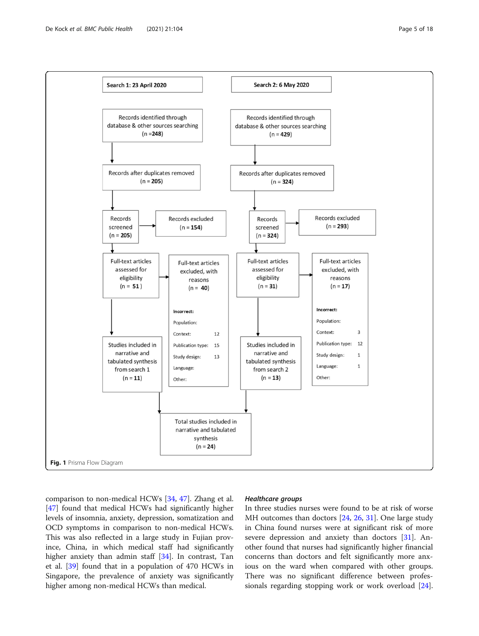<span id="page-4-0"></span>

comparison to non-medical HCWs [[34,](#page-16-0) [47\]](#page-17-0). Zhang et al. [[47\]](#page-17-0) found that medical HCWs had significantly higher levels of insomnia, anxiety, depression, somatization and OCD symptoms in comparison to non-medical HCWs. This was also reflected in a large study in Fujian province, China, in which medical staff had significantly higher anxiety than admin staff [\[34](#page-16-0)]. In contrast, Tan et al. [[39\]](#page-16-0) found that in a population of 470 HCWs in Singapore, the prevalence of anxiety was significantly higher among non-medical HCWs than medical.

# Healthcare groups

In three studies nurses were found to be at risk of worse MH outcomes than doctors [\[24,](#page-16-0) [26,](#page-16-0) [31\]](#page-16-0). One large study in China found nurses were at significant risk of more severe depression and anxiety than doctors [\[31\]](#page-16-0). Another found that nurses had significantly higher financial concerns than doctors and felt significantly more anxious on the ward when compared with other groups. There was no significant difference between professionals regarding stopping work or work overload [\[24](#page-16-0)].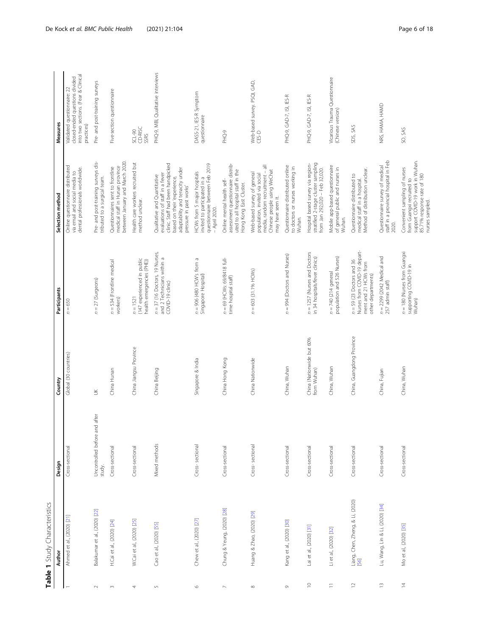<span id="page-5-0"></span>

|                       | Table 1 Study Characteristics            |                                         |                                          |                                                                                                            |                                                                                                                                                                                                   |                                                                                                                   |
|-----------------------|------------------------------------------|-----------------------------------------|------------------------------------------|------------------------------------------------------------------------------------------------------------|---------------------------------------------------------------------------------------------------------------------------------------------------------------------------------------------------|-------------------------------------------------------------------------------------------------------------------|
|                       | Author                                   | Design                                  | Country                                  | Participants                                                                                               | Selection method                                                                                                                                                                                  | Measures                                                                                                          |
|                       | Ahmed et al., (2020) [21]                | Cross-sectional                         | Global (30 countries)                    | $n = 650$                                                                                                  | Online questionnaire distributed<br>dental professionals worldwide.<br>via email and social media to                                                                                              | into two sections. (Fear & Clinical<br>dosed-ended questions divided<br>Validated questionnaire: 22<br>practices) |
| $\sim$                | Balakumar et al., (2020) [22]            | Uncontrolled before and after<br>study. | $\leq$                                   | $n = 27$ (Surgeons)                                                                                        | Pre- and post-training surveys dis-<br>tributed to a surgical team.                                                                                                                               | Pre- and post-training surveys                                                                                    |
| $\sim$                | H.Cai et al., (2020) [24]                | Cross-sectional                         | China Hunan                              | $n = 534$ (Frontline medical<br>workers)                                                                   | between January and March 2020.<br>medical staff in Hunan province<br>Questionnaires sent to frontline                                                                                            | Five-section questionnaire                                                                                        |
| 4                     | W.Cai et al., (2020) [25]                | Cross-sectional                         | China Jiangsu Province                   | (147 experienced in public<br>health emergencies (PHE))<br>$n = 1521$                                      | Health care workers recruited but<br>method unclear.                                                                                                                                              | SCL-90<br>CD-RISC<br>SSRS                                                                                         |
| $\mathsf{L}\cap$      | Cao et al., (2020) [55]                  | Mixed methods                           | China Beijing                            | $n = 37$ (16 Doctors, 19 Nurses,<br>and 2 Technicians within a<br>COVID-19 dinic)                          | clinic. Staff had been handpicked<br>adaptability and tenacity under<br>evaluations of staff in a fever<br>Qualitative and Quantitative<br>based on their 'experience,<br>pressure in past works' | PHQ-9, MBI, Qualitative interviews                                                                                |
| $\circ$               | Chew et al., (2020) [27]                 | Cross-sectional                         | Singapore & India                        | $n = 906$ (480 HCW's from a<br>Singapore Hospital)                                                         | questionnaire between Feb 2019<br>HCWs from 5 major hospitals<br>invited to participated in a<br>- April 2020.                                                                                    | DASS-21, IES-R Symptom<br>questionnaire                                                                           |
| $\mathord{\sim}$      | Chung & Yeung, (2020) [28]               | Cross-sectional                         | China Hong Kong                          | n = 69 (HCWs: 69/8418 full-<br>time hospital staff)                                                        | assessment questionnaire distrib-<br>uted to all hospital staff in the<br>Online mental health self-<br>Hong Kong East Cluster.                                                                   | PHQ-9                                                                                                             |
| $\infty$              | Huang & Zhao, (2020) [29]                | Cross-sectional                         | China Nationwide                         | $n = 603$ (31.1% HCWs)                                                                                     | media, random recruitment - all<br>Chinese people using WeChat<br>Web-based survey of general<br>population, invited via social<br>may have seen it.                                              | Web-based survey. PSQI, GAD,<br>CES-D                                                                             |
| $\circ$               | Kang et al., (2020) [30]                 | Cross-sectional                         | China, Wuhan                             | n = 994 (Doctors and Nurses)                                                                               | Questionnaire distributed online<br>to doctors or nurses working in<br>Wuhan.                                                                                                                     | PHQ-9, GAD-7, ISI, IES-R                                                                                          |
| $\supseteq$           | Lai et al., (2020) [31]                  | Cross-sectional                         | China (Nationwide but 60%<br>from Wuhan) | $n = 1257$ (Nurses and Doctors<br>in 34 hospitals/fever clinics)                                           | stratified 2-stage cluster sampling<br>Hospital based survey via region-<br>from Jan 292,020 - Feb 32,020.                                                                                        | PHQ-9, GAD-7, ISI, IES-R                                                                                          |
| $\equiv$              | Li et al., (2020) [32]                   | Cross-sectional                         | China, Wuhan                             | population and 526 Nurses)<br>$n = 740$ (214 general                                                       | Mobile app-based questionnaire<br>of general public and nurses in<br>Wuhan.                                                                                                                       | Vicarious Trauma Questionnaire<br>(Chinese version)                                                               |
| $\mathrel{\supseteq}$ | Liang, Chen, Zheng, & Li, (2020)<br>[56] | Cross-sectional                         | China, Guangdong Province                | Nurses from COVID-19 depart-<br>$n = 59$ (23 Doctors and 36<br>ment and 21 HCWs from<br>other departments) | Method of distribution unclear.<br>Questionnaire distributed to<br>medical staff in a hospital                                                                                                    | SDS, SAS                                                                                                          |
| $\widetilde{\Box}$    | Lu, Wang, Lin & Li, (2020) [34]          | Cross-sectional                         | China, Fujian                            | $n = 2299$ (2042 Medical and<br>257 admin staff)                                                           | Questionnaire survey of medical<br>staff in a provincial hospital in Feb<br>2020.                                                                                                                 | NRS, HAMA, HAMD                                                                                                   |
| $\overline{z}$        | Mo et al., (2020) [35]                   | Cross-sectional                         | China, Wuhan                             | $n = 180$ (Nurses from Guangxi<br>supporting COVID-19 in<br>Wuhan)                                         | support COVID-19 work in Wuhan.<br>Convenient sampling of nurses<br>85.71% response rate of 180<br>from Guangxi recruited to<br>nurses sampled.                                                   | SO, SAS                                                                                                           |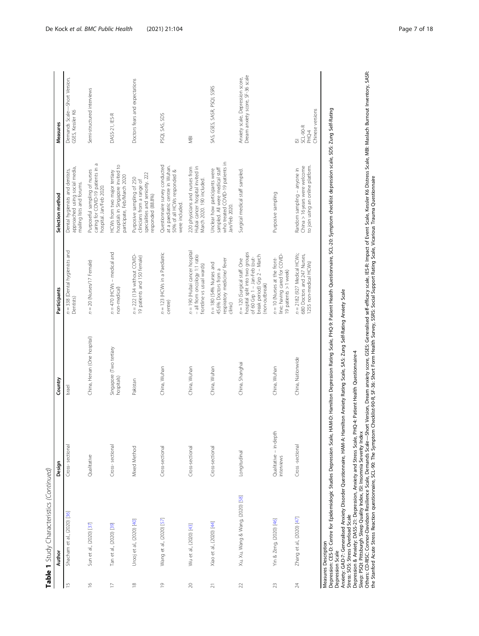|                | Table 1 Study Characteristics (Continued)                                                  |                                      |                                       |                                                                                                                                                |                                                                                                                       |                                                                         |
|----------------|--------------------------------------------------------------------------------------------|--------------------------------------|---------------------------------------|------------------------------------------------------------------------------------------------------------------------------------------------|-----------------------------------------------------------------------------------------------------------------------|-------------------------------------------------------------------------|
|                | Author                                                                                     | Design                               | Country                               | Participants                                                                                                                                   | Selection method                                                                                                      | Measures                                                                |
| $\overline{1}$ | Shacham et al., (2020) [36]                                                                | Cross-sectional                      | Israel                                | $n = 338$ (Dental hygienists and<br>Dentists)                                                                                                  | approached using social media,<br>Dental hygienists and dentists,<br>mailing lists and forums.                        | Demands Scale-Short Version,<br>GSES, Kessler K6                        |
| $\approx$      | Sun et al., (2020) [37]                                                                    | Qualitative                          | China, Henan (One hospital)           | $n = 20$ (Nurses/17 Female)                                                                                                                    | Purposeful sampling of nurses<br>caring for COVID-19 patients in a<br>hospital. Jan/Feb 2020.                         | Semi-structured interviews                                              |
| $\geq$         | Tan et al., (2020) [39]                                                                    | Cross-sectional                      | Singapore (Two tertiary<br>hospitals) | $n = 470$ (HCWs - medical and<br>non-medical)                                                                                                  | hospitals in Singapore invited to<br>HCWs from two major tertiary<br>participate, Feb/March 2020                      | DASS-21, IES-R                                                          |
| $\approx$      | Urooj et al., (2020) [40]                                                                  | Mixed Method                         | Pakistan                              | $n = 222$ (134 without COVID-<br>19 patients and 150 female)                                                                                   | specialities and seniority. 222<br>Purposive sampling of 250<br>clinicians from a range of<br>responded (88.8%)       | Doctors fears and expectations                                          |
| $\overline{0}$ | Wang et al., (2020) [57]                                                                   | Cross-sectional                      | China, Wuhan                          | n = 123 (HCWs in a Paediatric<br>centre)                                                                                                       | Questionnaire survey conducted<br>at a paediatric centre in Wuhan.<br>50% of all HCWs responded &<br>were included.   | PSQI, SAS, SDS                                                          |
| $\gtrsim$      | Wu et al., (2020) [43]                                                                     | Cross-sectional                      | China, Wuhan                          | n = 190 (Hubai cancer hospital<br>- all from oncology 1:1 ratio<br>frontline vs usual wards)                                                   | Hubai cancer hospital invited in<br>220 physicians and nurses from<br>March 2020. 190 included.                       | gl                                                                      |
| $\overline{z}$ | Xiao et al., (2020) [44]                                                                   | Cross-sectional                      | China, Wuhan                          | respiratory medicine/ fever<br>$n = 180$ (54% Nurses and<br>45.6% Doctors from a<br>clinic)                                                    | who treated COVID-19 patients in<br>sampled. All were medical staff<br>Unclear how participants were<br>Jan/Feb 2020. | SAS, GSES, SASR, PSQI, SSRS                                             |
| $\gtrsim$      | Xu, Xu, Wang & Wang, (2020) [58]                                                           | Longitudinal                         | China, Shanghai                       | hospital split into two groups<br>break period) Grp 2 - March<br>of 60 Grp 1 - Jan-Feb (out-<br>n = 120 (Surgical staff. One<br>(non-outbreak) | Surgical medical staff sampled.                                                                                       | Dream anxiety score, SF-36 scale<br>Anxiety scale, Depression score,    |
| 23             | Yin & Zeng, (2020) [46]                                                                    | Qualitative - in-depth<br>interviews | China, Wuhan                          | line; having cared for COVID-<br>$n = 10$ (Nurses at the front-<br>19 patients > 1 week)                                                       | Purposive sampling                                                                                                    |                                                                         |
|                | Zhang et al., (2020) [47]                                                                  | Cross -sectional                     | China, Nationwide                     | $n = 2182$ (927 Medical HCWs;<br>680 Doctors and 247 Nurses,<br>1255 non-medical HCWs)                                                         | to join using an online platform.<br>China > 16 years were welcome<br>Random sampling - anyone in                     | Chinese versions<br>SCL-90-R<br>PHQ-4<br>$\overline{\underline{\circ}}$ |
|                | <b><i><u>ALLES CALLS</u></i></b><br>$\frac{1}{2}$<br>Measures Description<br>$\frac{1}{2}$ | $\epsilon$                           | $\frac{6}{10}$                        | ć<br>į                                                                                                                                         | č                                                                                                                     |                                                                         |

SCL-20: Symptom checklist depression scale, SDS: Zung Self-Rating Depression: CES-D: Centre for Epidemiologic Studies Depression Scale, HAM-D: Hamilton Depression Rating Scale, PHQ-9: Patient Health Questionnaire, SCL-20: Symptom checklist depression scale, SDS: Zung Self-Rating Depression: CES-D: Centre for Epidemiologic Studies Depression Scale, HAM-D: Hamilton Depression Rating Scale, PHQ-9: Patient Health Questionnaire.,<br>Depression Sca.<br>Stress: SOS: Stress Overload Scale<br>Stress: SOS: Stress Ov Depression Scale

Anxiety: GAD-7: Generalised Anxiety Disorder Questionnaire, HAM-A: Hamilton Anxiety Rating Scale, SAS: Zung Self-Rating Anxiety Scale Stress: SOS: Stress Overload Scale

Depression & Anxiety: DASS-21: Depression, Anxiety and Stress Scale, PHQ-4: Patient Health Questionnaire-4

Sleep: PSQI: Pittsburgh Sleep Quality Index, ISI: Insomnia Severity Index

Depession & Anxiety: DASS-21: Depression, Anxiety and Stress Scale, PHQ-4: Patient Health Questionnaire-4<br>Sleep: PSQ: Pittsburgh Sleep Quality Index, IS: Insomnia Severity Index<br>Others: CD-RISC: Connor-Davidson Resilience Others: CD-RISC, Connor-Davidson Resilience Scale, Demands Scale—Short Version, Dream anxiety score, GSES: Generalised self-efficacy scale, IES-R: Impact of Event Scale, Kessler K6 Distress Scale, MaBI: Maslach Burnout Inv the Stanford Acute Stress Reaction questionnaire, SCL-90: The Symptom Checklist-90-R, SF-36: Short Form Health Survey, SSRS: Social Support Rating Scale, Vicarious Trauma Questionnaire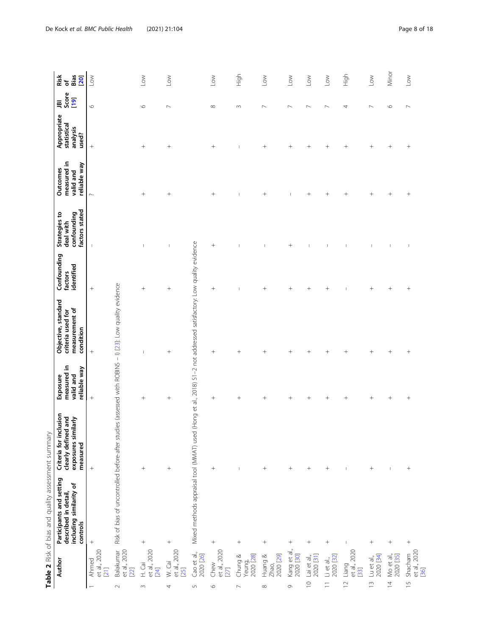<span id="page-7-0"></span>

|                |                                   | Table 2 Risk of bias and quality assessment summary                                                     |                                                                                  |                                                      |                                                                           |                                      |                                                             |                                                             |                                                 |                          |                                 |
|----------------|-----------------------------------|---------------------------------------------------------------------------------------------------------|----------------------------------------------------------------------------------|------------------------------------------------------|---------------------------------------------------------------------------|--------------------------------------|-------------------------------------------------------------|-------------------------------------------------------------|-------------------------------------------------|--------------------------|---------------------------------|
|                | Author                            | Participants and setting<br>including similarity of<br>described in detail,<br>controls                 | Criteria for inclusion<br>exposures similarly<br>clearly defined and<br>measured | measured in<br>reliable way<br>valid and<br>Exposure | Objective, standard<br>measurement of<br>criteria used for<br>condition   | Confounding<br>identified<br>factors | factors stated<br>confounding<br>Strategies to<br>deal with | measured in<br>reliable way<br><b>Outcomes</b><br>valid and | Appropriate<br>statistical<br>analysis<br>used? | Score<br>[19]<br>禀       | Bias<br>Risk<br>of<br><b>20</b> |
|                | et al., 2020<br>Ahmed<br>$[21]$   |                                                                                                         | $^{+}$                                                                           | $^{+}$                                               | $^{+}$                                                                    | $^{+}$                               | $\overline{\phantom{a}}$                                    | $\sim$                                                      | $^{+}$                                          | O                        | $\leq$                          |
| $\sim$         | et al., 2020<br>Balakumar<br>[22] | Risk of bias of uncontrolled before-after studies (assessed with ROBINS - 1) [23]: Low quality evidence |                                                                                  |                                                      |                                                                           |                                      |                                                             |                                                             |                                                 |                          |                                 |
| $\sim$         | et al., 2020<br>H. Cai<br>$[24]$  | $\! + \!\!\!\!$                                                                                         | $\hspace{1.0cm} + \hspace{1.0cm}$                                                | $^{+}$                                               | ı                                                                         | $^{+}$                               | $\mathbf{I}$                                                | $^{+}$                                                      | $^{+}$                                          | $\circ$                  | $\overline{\ }$                 |
| 4              | et al., 2020<br>W. Cai<br>$[25]$  | $^{+}$                                                                                                  | $^{+}$                                                                           | $^{+}$                                               | $^{+}$                                                                    | $^{+}$                               |                                                             | $\! + \!\!\!\!$                                             | $^{+}$                                          | $\mathord{\sim}$         | $_{\rm low}$                    |
| $\sqrt{2}$     | Cao et al.,<br>2020 [26]          | Mixed methods appraisal tool (MMAT) used                                                                |                                                                                  |                                                      | (Hong et al., 2018) S1-2 not addressed satisfactory: Low quality evidence |                                      |                                                             |                                                             |                                                 |                          |                                 |
| $\circ$        | et al., 2020<br>Chew<br>$[27]$    | $\qquad \qquad +$                                                                                       |                                                                                  | $^{+}$                                               | $^{+}$                                                                    | $^{+}$                               | $^{+}$                                                      | $^{+}$                                                      | $^{+}$                                          | ${}^{\infty}$            | $\mathop{\mathsf{Low}}$         |
|                | 2020 [28]<br>Chung &<br>Yeung,    | $^{+}$                                                                                                  | $\overline{1}$                                                                   | $\overline{+}$                                       | $^{+}$                                                                    |                                      |                                                             |                                                             |                                                 | $\sim$                   | nigh                            |
| $\infty$       | 2020 [29]<br>Huang &<br>Zhao,     |                                                                                                         | $^{+}$                                                                           | $^+$                                                 | $^{+}$                                                                    | $^{+}$                               | I                                                           | $^{+}$                                                      | $^{+}$                                          | $\overline{ }$           | $\overline{\mathsf{C}}$         |
| $\circ$        | Kang et al.,<br>2020 [30]         | $^{+}$                                                                                                  | $\! + \!\!\!\!$                                                                  | $^{+}$                                               | $^{+}$                                                                    | $^{+}$                               | $^{+}$                                                      |                                                             | $^{+}$                                          | $\overline{ }$           | $\leq$                          |
| $\supseteq$    | 2020 [31]<br>Lai et al,           | $^{+}$                                                                                                  | $\! + \!\!\!\!$                                                                  | $^{+}$                                               | $\! + \!\!\!\!$                                                           | $^{+}$                               | J                                                           | $^{+}$                                                      | $^{+}$                                          | $\overline{\phantom{0}}$ | $\mathop{\mathsf{row}}$         |
| $\equiv$       | 2020 [32]<br>$Li$ et al.,         |                                                                                                         | $^{+}$                                                                           | $^{+}$                                               |                                                                           | $^{+}$                               | I                                                           | $^{+}$                                                      | $^{+}$                                          | $\sim$                   | $\mathop{\mathsf{Low}}$         |
| $\overline{1}$ | et al., 2020<br>[33]<br>Liang     | $\overline{1}$                                                                                          | $\mathbf{I}$                                                                     | $^{+}$                                               | $\! + \!\!\!\!$                                                           |                                      | I                                                           | $^{+}$                                                      | $\overline{+}$                                  | 4                        | High                            |
| $\frac{1}{2}$  | 2020 [34]<br>Lu et al.,           |                                                                                                         | $^{+}$                                                                           | $^{+}$                                               | $^{+}$                                                                    | $^{+}$                               |                                                             | $^{+}$                                                      | $^+$                                            | $\overline{ }$           | $\mathop{\mathsf{Low}}$         |
| $\overline{4}$ | Mo et al.,<br>2020 [35]           | $^{+}$                                                                                                  | $\mathsf I$                                                                      | $^{+}$                                               | $^{+}$                                                                    |                                      | $\mathbf{I}$                                                | $^{+}$                                                      | $^{+}$                                          | $\circ$                  | Minor                           |
| $\frac{1}{2}$  | et al., 2020<br>Shacham<br>$[36]$ | $^{+}$                                                                                                  | $\! + \!\!\!\!$                                                                  | $^{+}$                                               | $^{+}$                                                                    | $^{+}$                               | $\overline{\phantom{a}}$                                    | $^{+}$                                                      | $^{+}$                                          | $\sim$                   | $\mathop{\mathsf{Low}}$         |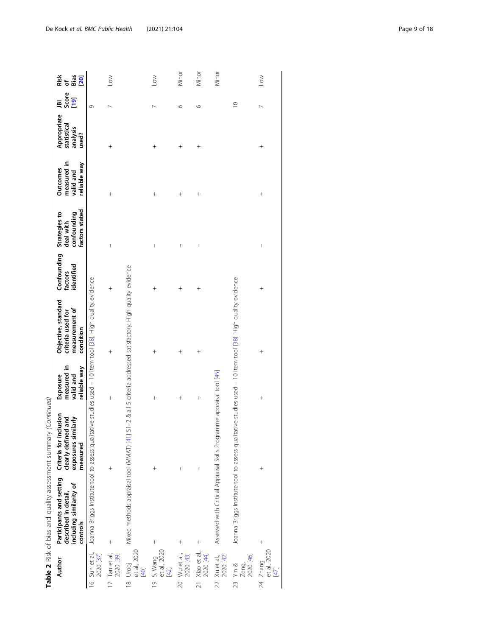|                                                | <b>THREE</b> I ISLAMS AND A STRIP CONTROL OF THE PERSON CONTROL OF THE PROPERTY OF THE SHIFT OF THE STRIP OF THE STRIP OF THE STRIP OF THE STRIP OF THE STRIP OF THE STRIP OF THE STRIP OF THE STRIP OF THE STRIP OF THE STRIP OF T |                                                                                  |                                                      |                                                                         |                                      |                                                             |                                                      |                                                 |                                   |                              |
|------------------------------------------------|-------------------------------------------------------------------------------------------------------------------------------------------------------------------------------------------------------------------------------------|----------------------------------------------------------------------------------|------------------------------------------------------|-------------------------------------------------------------------------|--------------------------------------|-------------------------------------------------------------|------------------------------------------------------|-------------------------------------------------|-----------------------------------|------------------------------|
| Author                                         | Participants and setting<br>including similarity of<br>described in detail,<br>controls                                                                                                                                             | Criteria for inclusion<br>clearly defined and<br>exposures similarly<br>measured | measured in<br>reliable way<br>valid and<br>Exposure | Objective, standard<br>measurement of<br>criteria used for<br>condition | Confounding<br>identified<br>factors | factors stated<br>Strategies to<br>confounding<br>deal with | measured in<br>reliable way<br>Outcomes<br>valid and | Appropriate<br>statistical<br>analysis<br>used? | Score<br>[1 <mark>9</mark> ]<br>ቛ | ច<br>ធី<br>Risk<br><b>20</b> |
| 16 Sun et al.,<br>2020 [37]                    | Joanna Briggs Institute tool to assess qualitative studies used - 10 item tool [38]: High quality evidence                                                                                                                          |                                                                                  |                                                      |                                                                         |                                      |                                                             |                                                      |                                                 | $\circ$                           |                              |
| 17 Tan et al.,<br>2020 [39]                    |                                                                                                                                                                                                                                     |                                                                                  | $^{+}$                                               | $^{+}$                                                                  | $^{+}$                               | $\overline{\phantom{a}}$                                    | $^{+}$                                               | $^+$                                            |                                   | Low                          |
| et al., 2020<br>[40]<br>18 Urooj               | Mixed methods appraisal tool (MMAT) [41] S1-2 & all 5 criteria addressed satisfactory: High quality evidence                                                                                                                        |                                                                                  |                                                      |                                                                         |                                      |                                                             |                                                      |                                                 |                                   |                              |
| et al., 2020<br>[42]<br>19 S. Wang             |                                                                                                                                                                                                                                     |                                                                                  | $^{+}$                                               | $^{+}$                                                                  |                                      | $\begin{array}{c} \hline \end{array}$                       | $^{+}$                                               | $^{+}$                                          |                                   | Low                          |
| 20 Wu et al.,<br>2020 [43]                     | $^{+}$                                                                                                                                                                                                                              |                                                                                  | $^{+}$                                               | $^{+}$                                                                  | $^{+}$                               | I                                                           | $^{+}$                                               | $^{+}$                                          | $\circ$                           | Minor                        |
| 21 Xiao et al.,<br>2020 [44]                   | $^{+}$                                                                                                                                                                                                                              | I                                                                                | $^{+}$                                               | $^{+}$                                                                  | $^{+}$                               | I                                                           | $^{+}$                                               | $^{+}$                                          | $\circ$                           | Minor                        |
| 22 Xu et al.,<br>2020 [42]                     | Assessed with Critical Appraisal Skills Programme appraisal tool [45]                                                                                                                                                               |                                                                                  |                                                      |                                                                         |                                      |                                                             |                                                      |                                                 |                                   | Minor                        |
| Zeng,<br>2020 [46]<br>Yin &<br>$\overline{23}$ | Joanna Briggs Institute tool to assess qualitative studies used - 10 item tool [38]: High quality evidence                                                                                                                          |                                                                                  |                                                      |                                                                         |                                      |                                                             |                                                      |                                                 | $\supseteq$                       |                              |
| 24 Zhang<br>et al., 2020<br>$[47]$             |                                                                                                                                                                                                                                     | $^{+}$                                                                           | $^{+}$                                               | $^{+}$                                                                  | $^{+}$                               | $\overline{\phantom{a}}$                                    | $\ddot{\phantom{1}}$                                 | $\ddot{\phantom{1}}$                            |                                   | $\geq$                       |

Table 2 Risk of bias and quality assessment summary (Continued) **Table 2** Risk of bias and quality assessment summary (Continued)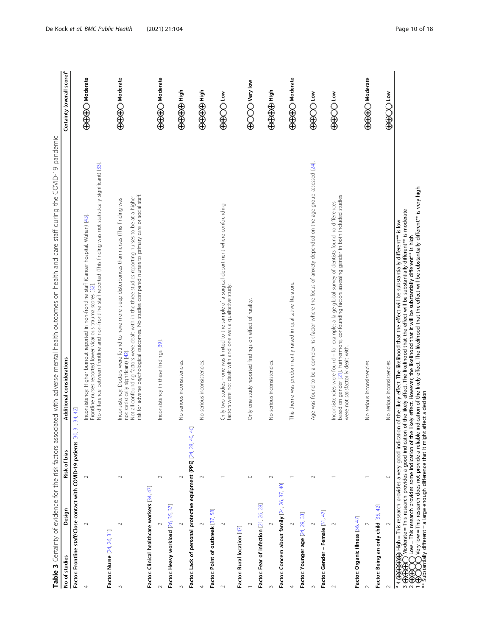<span id="page-9-0"></span>

| No of studies                                 | Design             | Risk of bias                                                                                                              | Table 3 Certainty of evidence for the risk factors associated with adverse mental health outcomes on health and care staff during the COVID-19 pandemic<br>Additional considerations                                                                                                                                                                                                                                                                                                                                                 | Certainty (overall score) <sup>a</sup>   |
|-----------------------------------------------|--------------------|---------------------------------------------------------------------------------------------------------------------------|--------------------------------------------------------------------------------------------------------------------------------------------------------------------------------------------------------------------------------------------------------------------------------------------------------------------------------------------------------------------------------------------------------------------------------------------------------------------------------------------------------------------------------------|------------------------------------------|
|                                               |                    | Factor: Frontline staff/Close contact with COVID-19 patients [30,                                                         | 31, 34, 42                                                                                                                                                                                                                                                                                                                                                                                                                                                                                                                           |                                          |
| 4                                             | $\scriptstyle\sim$ | $\sim$                                                                                                                    | No difference between frontline and non-frontline staff reported (This finding was not statistically significant) [33].<br>Inconsistency: Higher burnout reported in non-frontline staff (Cancer hospital, Wuhan) [43].<br>Frontline nurses reported lower vicarious trauma scores [32]                                                                                                                                                                                                                                              | $\bigoplus \bigoplus \bigoplus$ Moderate |
| Factor: Nurse [24, 26, 31]                    |                    |                                                                                                                           |                                                                                                                                                                                                                                                                                                                                                                                                                                                                                                                                      |                                          |
| $\sim$                                        | $\sim$             | $\sim$                                                                                                                    | risk for adverse psychological outcomes. No studies compared nurses to primary care or social staff.<br>Not all confounding factors were dealt with in the three studies reporting nurses to be at a higher<br>Inconsistency: Doctors were found to have more sleep disturbances than nurses (This finding was<br>not statistically significant) [42].                                                                                                                                                                               | <b>OOOO</b> Moderate                     |
| Factor: Clinical healthcare workers [34, 47]  |                    |                                                                                                                           |                                                                                                                                                                                                                                                                                                                                                                                                                                                                                                                                      |                                          |
| $\sim$                                        | $\sim$             | $\sim$                                                                                                                    | Inconsistency in these findings [39].                                                                                                                                                                                                                                                                                                                                                                                                                                                                                                | <b>GGGCO</b> Moderate                    |
| Factor: Heavy workload [26, 35, 37]           |                    |                                                                                                                           |                                                                                                                                                                                                                                                                                                                                                                                                                                                                                                                                      |                                          |
|                                               | $\sim$             | $\scriptstyle\sim$                                                                                                        | No serious inconsistencies                                                                                                                                                                                                                                                                                                                                                                                                                                                                                                           | ⊕⊕⊕⊕⊕ High                               |
|                                               |                    | Factor: Lack of personal protective equipment (PPE) [24, 28, 40, 46]                                                      |                                                                                                                                                                                                                                                                                                                                                                                                                                                                                                                                      |                                          |
| 4                                             | $\sim$             | $\sim$                                                                                                                    | No serious inconsistencies                                                                                                                                                                                                                                                                                                                                                                                                                                                                                                           | ⊕⊕⊕⊕⊕ High                               |
| Factor: Point of outbreak [37, 58]            |                    |                                                                                                                           |                                                                                                                                                                                                                                                                                                                                                                                                                                                                                                                                      |                                          |
|                                               | $\sim$             |                                                                                                                           | Only two studies - one was limited to the sample of a surgical department where confounding<br>factors were not dealt with and one was a qualitative study.                                                                                                                                                                                                                                                                                                                                                                          | <b>OOOOO</b>                             |
| Factor: Rural location [47]                   |                    |                                                                                                                           |                                                                                                                                                                                                                                                                                                                                                                                                                                                                                                                                      |                                          |
|                                               | $\sim$             | $\circ$                                                                                                                   | Only one study reported findings on effect of rurality.                                                                                                                                                                                                                                                                                                                                                                                                                                                                              | <b>ECCOO</b> Very low                    |
| Factor: Fear of infection [21, 26, 28]        |                    |                                                                                                                           |                                                                                                                                                                                                                                                                                                                                                                                                                                                                                                                                      |                                          |
| $\sim$                                        | $\sim$             | $\sim$                                                                                                                    | No serious inconsistencies                                                                                                                                                                                                                                                                                                                                                                                                                                                                                                           | ⊕⊕⊕⊕⊕                                    |
| Factor: Concern about family [24, 26, 37, 40] |                    |                                                                                                                           |                                                                                                                                                                                                                                                                                                                                                                                                                                                                                                                                      |                                          |
| 4                                             |                    |                                                                                                                           | This theme was predominantly raised in qualitative literature.                                                                                                                                                                                                                                                                                                                                                                                                                                                                       | <b>ACCO Moderate</b>                     |
| Factor: Younger age [24, 29, 33]              |                    |                                                                                                                           |                                                                                                                                                                                                                                                                                                                                                                                                                                                                                                                                      |                                          |
| $\sim$                                        |                    | $\sim$                                                                                                                    | Age was found to be a complex risk factor where the focus of anxiety depended on the age group assessed [24].                                                                                                                                                                                                                                                                                                                                                                                                                        | <b>GOOO Low</b>                          |
| Factor: Gender - Female [31, 47]              |                    |                                                                                                                           |                                                                                                                                                                                                                                                                                                                                                                                                                                                                                                                                      |                                          |
| $\sim$                                        | $\sim$             |                                                                                                                           | based on gender [21]. Furthermore, confounding factors assessing gender in both included studies<br>Inconsistencies were found - for example: a large global survey of dentists found no differences<br>were not satisfactorily dealt with.                                                                                                                                                                                                                                                                                          | ⊕⊕OO Low                                 |
| Factor: Organic illness [36, 47]              |                    |                                                                                                                           |                                                                                                                                                                                                                                                                                                                                                                                                                                                                                                                                      |                                          |
| $\sim$                                        |                    |                                                                                                                           | No serious inconsistencies                                                                                                                                                                                                                                                                                                                                                                                                                                                                                                           | $\bigoplus \bigoplus \bigoplus$ Moderate |
| Factor: Being an only child [35, 42]          |                    |                                                                                                                           |                                                                                                                                                                                                                                                                                                                                                                                                                                                                                                                                      |                                          |
| $\sim$                                        |                    | $\circ$                                                                                                                   | No serious inconsistencies.                                                                                                                                                                                                                                                                                                                                                                                                                                                                                                          | ⊕⊕OO                                     |
| $a^4 \oplus$<br>€,<br>°€                      |                    | Moderate = This research provides a good indication<br>Low = This research provides some indication of the                | Very low = This research does not provide a reliable indication of the likely effect. The likelihood that the effect will be substantially different** is very high<br>of the likely effect. The likelihood that the effect will be substantially different*** is moderate<br>$\oplus$ High = This research provides a very good indication of the likely effect. The likelihood that the effect will be substantially different** is low<br>ikely effect. However, the likelihood that it will be substantially different** is high |                                          |
|                                               |                    | ⊕OOO very low = I ins research www<br>Substantially different = a large enough difference that it might affect a decision |                                                                                                                                                                                                                                                                                                                                                                                                                                                                                                                                      |                                          |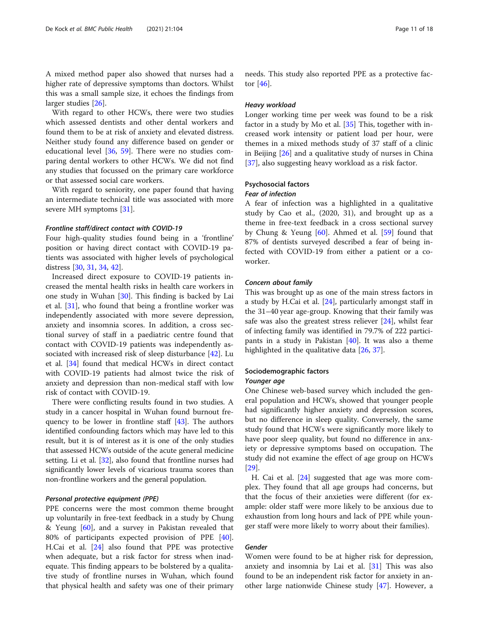A mixed method paper also showed that nurses had a higher rate of depressive symptoms than doctors. Whilst this was a small sample size, it echoes the findings from larger studies [\[26](#page-16-0)].

With regard to other HCWs, there were two studies which assessed dentists and other dental workers and found them to be at risk of anxiety and elevated distress. Neither study found any difference based on gender or educational level [[36,](#page-16-0) [59\]](#page-17-0). There were no studies comparing dental workers to other HCWs. We did not find any studies that focussed on the primary care workforce or that assessed social care workers.

With regard to seniority, one paper found that having an intermediate technical title was associated with more severe MH symptoms [\[31](#page-16-0)].

#### Frontline staff/direct contact with COVID-19

Four high-quality studies found being in a 'frontline' position or having direct contact with COVID-19 patients was associated with higher levels of psychological distress [\[30](#page-16-0), [31,](#page-16-0) [34,](#page-16-0) [42\]](#page-16-0).

Increased direct exposure to COVID-19 patients increased the mental health risks in health care workers in one study in Wuhan [[30\]](#page-16-0). This finding is backed by Lai et al. [[31\]](#page-16-0), who found that being a frontline worker was independently associated with more severe depression, anxiety and insomnia scores. In addition, a cross sectional survey of staff in a paediatric centre found that contact with COVID-19 patients was independently associated with increased risk of sleep disturbance [\[42](#page-16-0)]. Lu et al. [\[34](#page-16-0)] found that medical HCWs in direct contact with COVID-19 patients had almost twice the risk of anxiety and depression than non-medical staff with low risk of contact with COVID-19.

There were conflicting results found in two studies. A study in a cancer hospital in Wuhan found burnout frequency to be lower in frontline staff [\[43\]](#page-17-0). The authors identified confounding factors which may have led to this result, but it is of interest as it is one of the only studies that assessed HCWs outside of the acute general medicine setting. Li et al. [\[32\]](#page-16-0), also found that frontline nurses had significantly lower levels of vicarious trauma scores than non-frontline workers and the general population.

#### Personal protective equipment (PPE)

PPE concerns were the most common theme brought up voluntarily in free-text feedback in a study by Chung & Yeung [\[60\]](#page-17-0), and a survey in Pakistan revealed that 80% of participants expected provision of PPE [\[40](#page-16-0)]. H.Cai et al. [\[24](#page-16-0)] also found that PPE was protective when adequate, but a risk factor for stress when inadequate. This finding appears to be bolstered by a qualitative study of frontline nurses in Wuhan, which found that physical health and safety was one of their primary needs. This study also reported PPE as a protective factor  $[46]$  $[46]$ .

#### Heavy workload

Longer working time per week was found to be a risk factor in a study by Mo et al. [[35\]](#page-16-0) This, together with increased work intensity or patient load per hour, were themes in a mixed methods study of 37 staff of a clinic in Beijing [\[26\]](#page-16-0) and a qualitative study of nurses in China [[37\]](#page-16-0), also suggesting heavy workload as a risk factor.

# Psychosocial factors

# Fear of infection

A fear of infection was a highlighted in a qualitative study by Cao et al., (2020, 31), and brought up as a theme in free-text feedback in a cross sectional survey by Chung & Yeung [[60\]](#page-17-0). Ahmed et al. [\[59\]](#page-17-0) found that 87% of dentists surveyed described a fear of being infected with COVID-19 from either a patient or a coworker.

#### Concern about family

This was brought up as one of the main stress factors in a study by H.Cai et al. [[24\]](#page-16-0), particularly amongst staff in the 31–40 year age-group. Knowing that their family was safe was also the greatest stress reliever  $[24]$  $[24]$  $[24]$ , whilst fear of infecting family was identified in 79.7% of 222 participants in a study in Pakistan [[40](#page-16-0)]. It was also a theme highlighted in the qualitative data [[26](#page-16-0), [37](#page-16-0)].

#### Sociodemographic factors

#### Younger age

One Chinese web-based survey which included the general population and HCWs, showed that younger people had significantly higher anxiety and depression scores, but no difference in sleep quality. Conversely, the same study found that HCWs were significantly more likely to have poor sleep quality, but found no difference in anxiety or depressive symptoms based on occupation. The study did not examine the effect of age group on HCWs [[29\]](#page-16-0).

H. Cai et al. [\[24\]](#page-16-0) suggested that age was more complex. They found that all age groups had concerns, but that the focus of their anxieties were different (for example: older staff were more likely to be anxious due to exhaustion from long hours and lack of PPE while younger staff were more likely to worry about their families).

# Gender

Women were found to be at higher risk for depression, anxiety and insomnia by Lai et al. [[31\]](#page-16-0) This was also found to be an independent risk factor for anxiety in another large nationwide Chinese study [\[47](#page-17-0)]. However, a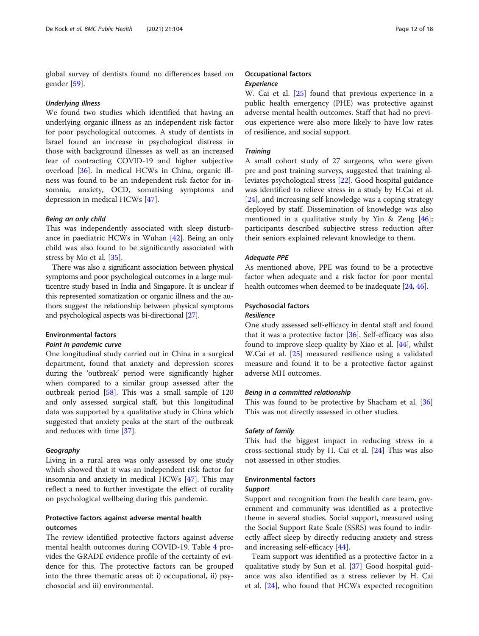global survey of dentists found no differences based on gender [[59](#page-17-0)].

#### Underlying illness

We found two studies which identified that having an underlying organic illness as an independent risk factor for poor psychological outcomes. A study of dentists in Israel found an increase in psychological distress in those with background illnesses as well as an increased fear of contracting COVID-19 and higher subjective overload [\[36](#page-16-0)]. In medical HCWs in China, organic illness was found to be an independent risk factor for insomnia, anxiety, OCD, somatising symptoms and depression in medical HCWs [[47\]](#page-17-0).

#### Being an only child

This was independently associated with sleep disturbance in paediatric HCWs in Wuhan [\[42](#page-16-0)]. Being an only child was also found to be significantly associated with stress by Mo et al. [[35](#page-16-0)].

There was also a significant association between physical symptoms and poor psychological outcomes in a large multicentre study based in India and Singapore. It is unclear if this represented somatization or organic illness and the authors suggest the relationship between physical symptoms and psychological aspects was bi-directional [[27](#page-16-0)].

#### Environmental factors

#### Point in pandemic curve

One longitudinal study carried out in China in a surgical department, found that anxiety and depression scores during the 'outbreak' period were significantly higher when compared to a similar group assessed after the outbreak period [[58\]](#page-17-0). This was a small sample of 120 and only assessed surgical staff, but this longitudinal data was supported by a qualitative study in China which suggested that anxiety peaks at the start of the outbreak and reduces with time [\[37\]](#page-16-0).

#### Geography

Living in a rural area was only assessed by one study which showed that it was an independent risk factor for insomnia and anxiety in medical HCWs [\[47](#page-17-0)]. This may reflect a need to further investigate the effect of rurality on psychological wellbeing during this pandemic.

# Protective factors against adverse mental health outcomes

The review identified protective factors against adverse mental health outcomes during COVID-19. Table [4](#page-12-0) provides the GRADE evidence profile of the certainty of evidence for this. The protective factors can be grouped into the three thematic areas of: i) occupational, ii) psychosocial and iii) environmental.

# Occupational factors

# Experience

W. Cai et al. [\[25\]](#page-16-0) found that previous experience in a public health emergency (PHE) was protective against adverse mental health outcomes. Staff that had no previous experience were also more likely to have low rates of resilience, and social support.

#### **Training**

A small cohort study of 27 surgeons, who were given pre and post training surveys, suggested that training alleviates psychological stress [\[22](#page-16-0)]. Good hospital guidance was identified to relieve stress in a study by H.Cai et al. [[24\]](#page-16-0), and increasing self-knowledge was a coping strategy deployed by staff. Dissemination of knowledge was also mentioned in a qualitative study by Yin & Zeng [\[46](#page-17-0)]; participants described subjective stress reduction after their seniors explained relevant knowledge to them.

#### Adequate PPE

As mentioned above, PPE was found to be a protective factor when adequate and a risk factor for poor mental health outcomes when deemed to be inadequate [[24](#page-16-0), [46\]](#page-17-0).

# Psychosocial factors

#### Resilience

One study assessed self-efficacy in dental staff and found that it was a protective factor [[36\]](#page-16-0). Self-efficacy was also found to improve sleep quality by Xiao et al. [[44\]](#page-17-0), whilst W.Cai et al. [\[25](#page-16-0)] measured resilience using a validated measure and found it to be a protective factor against adverse MH outcomes.

#### Being in a committed relationship

This was found to be protective by Shacham et al. [[36](#page-16-0)] This was not directly assessed in other studies.

#### Safety of family

This had the biggest impact in reducing stress in a cross-sectional study by H. Cai et al. [\[24](#page-16-0)] This was also not assessed in other studies.

### Environmental factors

#### Support

Support and recognition from the health care team, government and community was identified as a protective theme in several studies. Social support, measured using the Social Support Rate Scale (SSRS) was found to indirectly affect sleep by directly reducing anxiety and stress and increasing self-efficacy [\[44](#page-17-0)].

Team support was identified as a protective factor in a qualitative study by Sun et al. [[37](#page-16-0)] Good hospital guidance was also identified as a stress reliever by H. Cai et al. [\[24](#page-16-0)], who found that HCWs expected recognition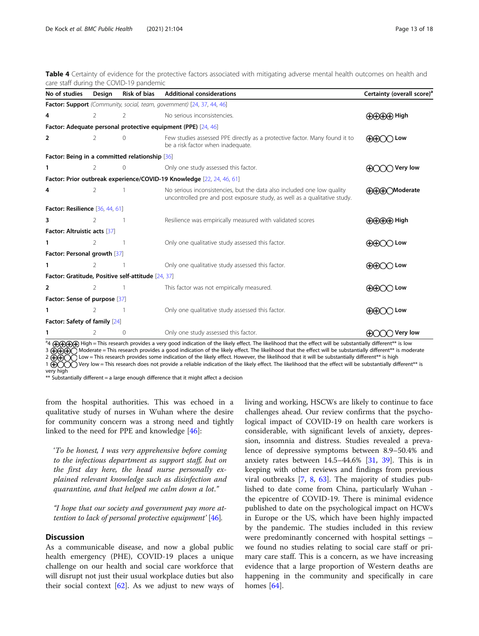<span id="page-12-0"></span>Table 4 Certainty of evidence for the protective factors associated with mitigating adverse mental health outcomes on health and care staff during the COVID-19 pandemic

| No of studies                                      | Design | <b>Risk of bias</b> | <b>Additional considerations</b>                                                                                                                    | Certainty (overall score) <sup>®</sup>                                                                                                                                                                                                                                                                                                                                                                                                                    |
|----------------------------------------------------|--------|---------------------|-----------------------------------------------------------------------------------------------------------------------------------------------------|-----------------------------------------------------------------------------------------------------------------------------------------------------------------------------------------------------------------------------------------------------------------------------------------------------------------------------------------------------------------------------------------------------------------------------------------------------------|
|                                                    |        |                     | Factor: Support (Community, social, team, government) [24, 37, 44, 46]                                                                              |                                                                                                                                                                                                                                                                                                                                                                                                                                                           |
| 4                                                  | 2      | 2                   | No serious inconsistencies.                                                                                                                         | <b>(D)CDCFD</b> High                                                                                                                                                                                                                                                                                                                                                                                                                                      |
|                                                    |        |                     | Factor: Adequate personal protective equipment (PPE) [24, 46]                                                                                       |                                                                                                                                                                                                                                                                                                                                                                                                                                                           |
| 2                                                  | 2      | $\Omega$            | Few studies assessed PPE directly as a protective factor. Many found it to<br>be a risk factor when inadequate.                                     | Low<br>$H \times H$                                                                                                                                                                                                                                                                                                                                                                                                                                       |
| Factor: Being in a committed relationship [36]     |        |                     |                                                                                                                                                     |                                                                                                                                                                                                                                                                                                                                                                                                                                                           |
| 1                                                  | 2      | $\mathbf{0}$        | Only one study assessed this factor.                                                                                                                | $\bigcirc$ Very low                                                                                                                                                                                                                                                                                                                                                                                                                                       |
|                                                    |        |                     | Factor: Prior outbreak experience/COVID-19 Knowledge [22, 24, 46, 61]                                                                               |                                                                                                                                                                                                                                                                                                                                                                                                                                                           |
| 4                                                  | 2      |                     | No serious inconsistencies, but the data also included one low quality<br>uncontrolled pre and post exposure study, as well as a qualitative study. | <b>AAAOModerate</b>                                                                                                                                                                                                                                                                                                                                                                                                                                       |
| Factor: Resilience [36, 44, 61]                    |        |                     |                                                                                                                                                     |                                                                                                                                                                                                                                                                                                                                                                                                                                                           |
| 3                                                  | 2      |                     | Resilience was empirically measured with validated scores                                                                                           | <b>OOOO</b> High                                                                                                                                                                                                                                                                                                                                                                                                                                          |
| Factor: Altruistic acts [37]                       |        |                     |                                                                                                                                                     |                                                                                                                                                                                                                                                                                                                                                                                                                                                           |
| 1                                                  | 2      |                     | Only one qualitative study assessed this factor.                                                                                                    | ⊕GHO Low                                                                                                                                                                                                                                                                                                                                                                                                                                                  |
| Factor: Personal growth [37]                       |        |                     |                                                                                                                                                     |                                                                                                                                                                                                                                                                                                                                                                                                                                                           |
| 1                                                  | 2      |                     | Only one qualitative study assessed this factor.                                                                                                    | <b>AAA</b><br>Low                                                                                                                                                                                                                                                                                                                                                                                                                                         |
| Factor: Gratitude, Positive self-attitude [24, 37] |        |                     |                                                                                                                                                     |                                                                                                                                                                                                                                                                                                                                                                                                                                                           |
| 2                                                  | 2      |                     | This factor was not empirically measured.                                                                                                           | $\bigoplus$<br>$\cap$ Low                                                                                                                                                                                                                                                                                                                                                                                                                                 |
| Factor: Sense of purpose [37]                      |        |                     |                                                                                                                                                     |                                                                                                                                                                                                                                                                                                                                                                                                                                                           |
|                                                    | 2      |                     | Only one qualitative study assessed this factor.                                                                                                    | $\bigoplus\hspace{-0.15cm}\bigoplus\hspace{-0.15cm}\bigoplus\hspace{-0.15cm}\bigoplus\hspace{-0.15cm}\bigoplus\hspace{-0.15cm}\bigoplus\hspace{-0.15cm}\bigoplus\hspace{-0.15cm}\bigoplus\hspace{-0.15cm}\bigoplus\hspace{-0.15cm}\bigoplus\hspace{-0.15cm}\bigoplus\hspace{-0.15cm}\bigoplus\hspace{-0.15cm}\bigoplus\hspace{-0.15cm}\bigoplus\hspace{-0.15cm}\bigoplus\hspace{-0.15cm}\bigoplus\hspace{-0.15cm}\bigoplus\hspace{-0.15$<br>$\supset$ Low |
| Factor: Safety of family [24]                      |        |                     |                                                                                                                                                     |                                                                                                                                                                                                                                                                                                                                                                                                                                                           |
| 1                                                  | 2      | $\circ$             | Only one study assessed this factor.                                                                                                                | <b>Very low</b>                                                                                                                                                                                                                                                                                                                                                                                                                                           |

<sup>3</sup>4 (H)(H)(H) High = This research provides a very good indication of the likely effect. The likelihood that the effect will be substantially different\*\* is low 3 ⊕⊕⊕⊝ Moderate = This research provides a good indication of the likely effect. The likelihood that the effect will be substantially different\*\* is moderate 2  $\bigoplus$  $\bigodot$  Low = This research provides some indication of the likely effect. However, the likelihood that it will be substantially different\*\* is high

1  $\widetilde{\bigoplus}\widetilde{\bigodot}\widetilde{\bigodot}$  Very low = This research does not provide a reliable indication of the likely effect. The likelihood that the effect will be substantially different\*\* is very high

\*\* Substantially different = a large enough difference that it might affect a decision

from the hospital authorities. This was echoed in a qualitative study of nurses in Wuhan where the desire for community concern was a strong need and tightly linked to the need for PPE and knowledge [[46\]](#page-17-0):

'To be honest, I was very apprehensive before coming to the infectious department as support staff, but on the first day here, the head nurse personally explained relevant knowledge such as disinfection and quarantine, and that helped me calm down a lot."

"I hope that our society and government pay more attention to lack of personal protective equipment' [\[46](#page-17-0)].

#### **Discussion**

As a communicable disease, and now a global public health emergency (PHE), COVID-19 places a unique challenge on our health and social care workforce that will disrupt not just their usual workplace duties but also their social context  $[62]$  $[62]$  $[62]$ . As we adjust to new ways of living and working, HSCWs are likely to continue to face challenges ahead. Our review confirms that the psychological impact of COVID-19 on health care workers is considerable, with significant levels of anxiety, depression, insomnia and distress. Studies revealed a prevalence of depressive symptoms between 8.9–50.4% and anxiety rates between 14.5–44.6% [[31,](#page-16-0) [39\]](#page-16-0). This is in keeping with other reviews and findings from previous viral outbreaks [[7,](#page-16-0) [8](#page-16-0), [63](#page-17-0)]. The majority of studies published to date come from China, particularly Wuhan the epicentre of COVID-19. There is minimal evidence published to date on the psychological impact on HCWs in Europe or the US, which have been highly impacted by the pandemic. The studies included in this review were predominantly concerned with hospital settings – we found no studies relating to social care staff or primary care staff. This is a concern, as we have increasing evidence that a large proportion of Western deaths are happening in the community and specifically in care homes [[64](#page-17-0)].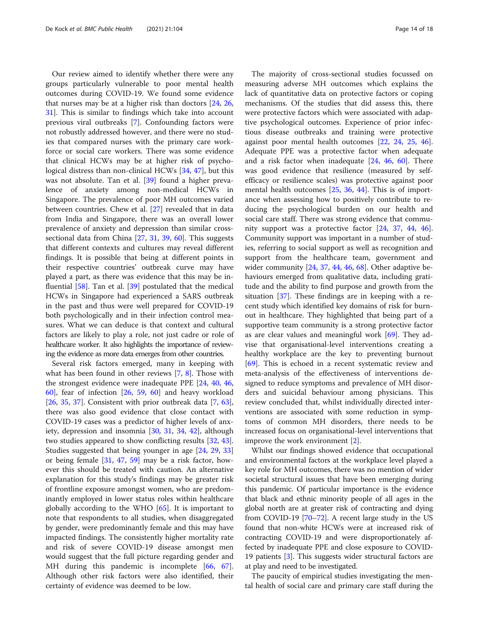Our review aimed to identify whether there were any groups particularly vulnerable to poor mental health outcomes during COVID-19. We found some evidence that nurses may be at a higher risk than doctors [\[24](#page-16-0), [26](#page-16-0), [31\]](#page-16-0). This is similar to findings which take into account previous viral outbreaks [[7\]](#page-16-0). Confounding factors were not robustly addressed however, and there were no studies that compared nurses with the primary care workforce or social care workers. There was some evidence that clinical HCWs may be at higher risk of psychological distress than non-clinical HCWs [\[34,](#page-16-0) [47\]](#page-17-0), but this was not absolute. Tan et al. [[39](#page-16-0)] found a higher prevalence of anxiety among non-medical HCWs in Singapore. The prevalence of poor MH outcomes varied between countries. Chew et al. [[27\]](#page-16-0) revealed that in data from India and Singapore, there was an overall lower prevalence of anxiety and depression than similar crosssectional data from China [[27](#page-16-0), [31,](#page-16-0) [39](#page-16-0), [60\]](#page-17-0). This suggests that different contexts and cultures may reveal different findings. It is possible that being at different points in their respective countries' outbreak curve may have played a part, as there was evidence that this may be influential [\[58](#page-17-0)]. Tan et al. [\[39\]](#page-16-0) postulated that the medical HCWs in Singapore had experienced a SARS outbreak in the past and thus were well prepared for COVID-19 both psychologically and in their infection control measures. What we can deduce is that context and cultural factors are likely to play a role, not just cadre or role of healthcare worker. It also highlights the importance of reviewing the evidence as more data emerges from other countries.

Several risk factors emerged, many in keeping with what has been found in other reviews [\[7,](#page-16-0) [8](#page-16-0)]. Those with the strongest evidence were inadequate PPE [\[24](#page-16-0), [40,](#page-16-0) [46](#page-17-0), [60\]](#page-17-0), fear of infection [[26](#page-16-0), [59](#page-17-0), [60\]](#page-17-0) and heavy workload [[26,](#page-16-0) [35](#page-16-0), [37\]](#page-16-0). Consistent with prior outbreak data  $[7, 63]$  $[7, 63]$  $[7, 63]$  $[7, 63]$  $[7, 63]$ , there was also good evidence that close contact with COVID-19 cases was a predictor of higher levels of anxiety, depression and insomnia [\[30,](#page-16-0) [31,](#page-16-0) [34,](#page-16-0) [42](#page-16-0)], although two studies appeared to show conflicting results [\[32](#page-16-0), [43](#page-17-0)]. Studies suggested that being younger in age [[24](#page-16-0), [29,](#page-16-0) [33](#page-16-0)] or being female [[31](#page-16-0), [47](#page-17-0), [59](#page-17-0)] may be a risk factor, however this should be treated with caution. An alternative explanation for this study's findings may be greater risk of frontline exposure amongst women, who are predominantly employed in lower status roles within healthcare globally according to the WHO [\[65](#page-17-0)]. It is important to note that respondents to all studies, when disaggregated by gender, were predominantly female and this may have impacted findings. The consistently higher mortality rate and risk of severe COVID-19 disease amongst men would suggest that the full picture regarding gender and MH during this pandemic is incomplete [[66,](#page-17-0) [67](#page-17-0)]. Although other risk factors were also identified, their certainty of evidence was deemed to be low.

The majority of cross-sectional studies focussed on measuring adverse MH outcomes which explains the lack of quantitative data on protective factors or coping mechanisms. Of the studies that did assess this, there were protective factors which were associated with adaptive psychological outcomes. Experience of prior infectious disease outbreaks and training were protective against poor mental health outcomes [[22,](#page-16-0) [24](#page-16-0), [25](#page-16-0), [46](#page-17-0)]. Adequate PPE was a protective factor when adequate and a risk factor when inadequate [[24,](#page-16-0) [46](#page-17-0), [60](#page-17-0)]. There was good evidence that resilience (measured by selfefficacy or resilience scales) was protective against poor mental health outcomes [\[25](#page-16-0), [36,](#page-16-0) [44\]](#page-17-0). This is of importance when assessing how to positively contribute to reducing the psychological burden on our health and social care staff. There was strong evidence that community support was a protective factor [\[24](#page-16-0), [37](#page-16-0), [44,](#page-17-0) [46](#page-17-0)]. Community support was important in a number of studies, referring to social support as well as recognition and support from the healthcare team, government and wider community  $[24, 37, 44, 46, 68]$  $[24, 37, 44, 46, 68]$  $[24, 37, 44, 46, 68]$  $[24, 37, 44, 46, 68]$  $[24, 37, 44, 46, 68]$  $[24, 37, 44, 46, 68]$  $[24, 37, 44, 46, 68]$  $[24, 37, 44, 46, 68]$  $[24, 37, 44, 46, 68]$  $[24, 37, 44, 46, 68]$ . Other adaptive behaviours emerged from qualitative data, including gratitude and the ability to find purpose and growth from the situation [[37](#page-16-0)]. These findings are in keeping with a recent study which identified key domains of risk for burnout in healthcare. They highlighted that being part of a supportive team community is a strong protective factor as are clear values and meaningful work [[69\]](#page-17-0). They advise that organisational-level interventions creating a healthy workplace are the key to preventing burnout [[69\]](#page-17-0). This is echoed in a recent systematic review and meta-analysis of the effectiveness of interventions designed to reduce symptoms and prevalence of MH disorders and suicidal behaviour among physicians. This review concluded that, whilst individually directed interventions are associated with some reduction in symptoms of common MH disorders, there needs to be increased focus on organisational-level interventions that improve the work environment [[2\]](#page-15-0).

Whilst our findings showed evidence that occupational and environmental factors at the workplace level played a key role for MH outcomes, there was no mention of wider societal structural issues that have been emerging during this pandemic. Of particular importance is the evidence that black and ethnic minority people of all ages in the global north are at greater risk of contracting and dying from COVID-19 [[70](#page-17-0)–[72\]](#page-17-0). A recent large study in the US found that non-white HCWs were at increased risk of contracting COVID-19 and were disproportionately affected by inadequate PPE and close exposure to COVID-19 patients [\[3\]](#page-15-0). This suggests wider structural factors are at play and need to be investigated.

The paucity of empirical studies investigating the mental health of social care and primary care staff during the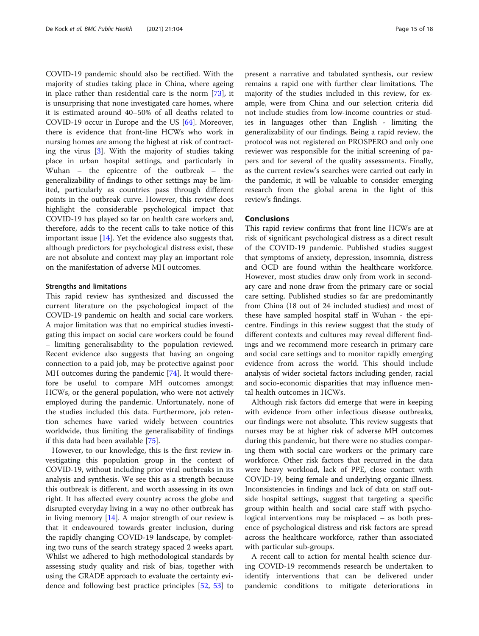COVID-19 pandemic should also be rectified. With the majority of studies taking place in China, where ageing in place rather than residential care is the norm [[73\]](#page-17-0), it is unsurprising that none investigated care homes, where it is estimated around 40–50% of all deaths related to COVID-19 occur in Europe and the US [[64\]](#page-17-0). Moreover, there is evidence that front-line HCWs who work in nursing homes are among the highest at risk of contracting the virus [[3](#page-15-0)]. With the majority of studies taking place in urban hospital settings, and particularly in Wuhan – the epicentre of the outbreak – the generalizability of findings to other settings may be limited, particularly as countries pass through different points in the outbreak curve. However, this review does highlight the considerable psychological impact that COVID-19 has played so far on health care workers and, therefore, adds to the recent calls to take notice of this important issue [[14\]](#page-16-0). Yet the evidence also suggests that, although predictors for psychological distress exist, these are not absolute and context may play an important role on the manifestation of adverse MH outcomes.

#### Strengths and limitations

This rapid review has synthesized and discussed the current literature on the psychological impact of the COVID-19 pandemic on health and social care workers. A major limitation was that no empirical studies investigating this impact on social care workers could be found – limiting generalisability to the population reviewed. Recent evidence also suggests that having an ongoing connection to a paid job, may be protective against poor MH outcomes during the pandemic [\[74](#page-17-0)]. It would therefore be useful to compare MH outcomes amongst HCWs, or the general population, who were not actively employed during the pandemic. Unfortunately, none of the studies included this data. Furthermore, job retention schemes have varied widely between countries worldwide, thus limiting the generalisability of findings if this data had been available [\[75\]](#page-17-0).

However, to our knowledge, this is the first review investigating this population group in the context of COVID-19, without including prior viral outbreaks in its analysis and synthesis. We see this as a strength because this outbreak is different, and worth assessing in its own right. It has affected every country across the globe and disrupted everyday living in a way no other outbreak has in living memory  $[14]$  $[14]$ . A major strength of our review is that it endeavoured towards greater inclusion, during the rapidly changing COVID-19 landscape, by completing two runs of the search strategy spaced 2 weeks apart. Whilst we adhered to high methodological standards by assessing study quality and risk of bias, together with using the GRADE approach to evaluate the certainty evidence and following best practice principles [\[52](#page-17-0), [53](#page-17-0)] to present a narrative and tabulated synthesis, our review remains a rapid one with further clear limitations. The majority of the studies included in this review, for example, were from China and our selection criteria did not include studies from low-income countries or studies in languages other than English - limiting the generalizability of our findings. Being a rapid review, the protocol was not registered on PROSPERO and only one reviewer was responsible for the initial screening of papers and for several of the quality assessments. Finally, as the current review's searches were carried out early in the pandemic, it will be valuable to consider emerging research from the global arena in the light of this review's findings.

#### Conclusions

This rapid review confirms that front line HCWs are at risk of significant psychological distress as a direct result of the COVID-19 pandemic. Published studies suggest that symptoms of anxiety, depression, insomnia, distress and OCD are found within the healthcare workforce. However, most studies draw only from work in secondary care and none draw from the primary care or social care setting. Published studies so far are predominantly from China (18 out of 24 included studies) and most of these have sampled hospital staff in Wuhan - the epicentre. Findings in this review suggest that the study of different contexts and cultures may reveal different findings and we recommend more research in primary care and social care settings and to monitor rapidly emerging evidence from across the world. This should include analysis of wider societal factors including gender, racial and socio-economic disparities that may influence mental health outcomes in HCWs.

Although risk factors did emerge that were in keeping with evidence from other infectious disease outbreaks, our findings were not absolute. This review suggests that nurses may be at higher risk of adverse MH outcomes during this pandemic, but there were no studies comparing them with social care workers or the primary care workforce. Other risk factors that recurred in the data were heavy workload, lack of PPE, close contact with COVID-19, being female and underlying organic illness. Inconsistencies in findings and lack of data on staff outside hospital settings, suggest that targeting a specific group within health and social care staff with psychological interventions may be misplaced – as both presence of psychological distress and risk factors are spread across the healthcare workforce, rather than associated with particular sub-groups.

A recent call to action for mental health science during COVID-19 recommends research be undertaken to identify interventions that can be delivered under pandemic conditions to mitigate deteriorations in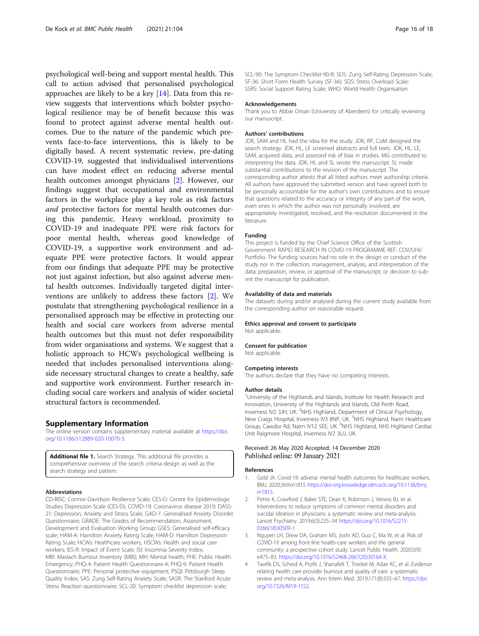<span id="page-15-0"></span>psychological well-being and support mental health. This call to action advised that personalised psychological approaches are likely to be a key [\[14](#page-16-0)]. Data from this review suggests that interventions which bolster psychological resilience may be of benefit because this was found to protect against adverse mental health outcomes. Due to the nature of the pandemic which prevents face-to-face interventions, this is likely to be digitally based. A recent systematic review, pre-dating COVID-19, suggested that individualised interventions can have modest effect on reducing adverse mental health outcomes amongst physicians [2]. However, our findings suggest that occupational and environmental factors in the workplace play a key role as risk factors and protective factors for mental health outcomes during this pandemic. Heavy workload, proximity to COVID-19 and inadequate PPE were risk factors for poor mental health, whereas good knowledge of COVID-19, a supportive work environment and adequate PPE were protective factors. It would appear from our findings that adequate PPE may be protective not just against infection, but also against adverse mental health outcomes. Individually targeted digital interventions are unlikely to address these factors [2]. We postulate that strengthening psychological resilience in a personalised approach may be effective in protecting our health and social care workers from adverse mental health outcomes but this must not defer responsibility from wider organisations and systems. We suggest that a holistic approach to HCWs psychological wellbeing is needed that includes personalised interventions alongside necessary structural changes to create a healthy, safe and supportive work environment. Further research including social care workers and analysis of wider societal structural factors is recommended.

#### Supplementary Information

The online version contains supplementary material available at [https://doi.](https://doi.org/10.1186/s12889-020-10070-3) [org/10.1186/s12889-020-10070-3.](https://doi.org/10.1186/s12889-020-10070-3)

Additional file 1. Search Strategy. This additional file provides a comprehensive overview of the search criteria design as well as the search strategy and pattern.

#### Abbreviations

CD-RISC: Connor-Davidson Resilience Scale; CES-D: Centre for Epidemiologic Studies Depression Scale (CES-D); COVID-19: Coronavirus disease 2019; DASS-21: Depression, Anxiety and Stress Scale; GAD-7: Generalised Anxiety Disorder Questionnaire; GRADE: The Grades of Recommendation, Assessment, Development and Evaluation Working Group; GSES: Generalised self-efficacy scale; HAM-A: Hamilton Anxiety Rating Scale; HAM-D: Hamilton Depression Rating Scale; HCWs: Healthcare workers; HSCWs: Health and social care workers; IES-R: Impact of Event Scale; ISI: Insomnia Severity Index; MBI: Maslach Burnout Inventory (MBI); MH: Mental health; PHE: Public Health Emergency; PHQ-4: Patient Health Questionnaire-4; PHQ-9: Patient Health Questionnaire; PPE: Personal protective equipment; PSQI: Pittsburgh Sleep Quality Index; SAS: Zung Self-Rating Anxiety Scale; SASR: The Stanford Acute Stress Reaction questionnaire; SCL-20: Symptom checklist depression scale;

SCL-90: The Symptom Checklist-90-R; SDS: Zung Self-Rating Depression Scale; SF-36: Short Form Health Survey (SF-36); SOS: Stress Overload Scale; SSRS: Social Support Rating Scale; WHO: World Health Organisation

#### Acknowledgements

Thank you to Abbie Oman (University of Aberdeen) for critically reviewing our manuscript.

#### Authors' contributions

JDK, SAM and HL had the idea for the study. JDK, RP, CoM designed the search strategy. JDK, HL, LE screened abstracts and full texts. JDK, HL, LE, SAM, acquired data, and assessed risk of bias in studies. MG contributed to interpreting the data. JDK, HL and SL wrote the manuscript. SL made substantial contributions to the revision of the manuscript. The corresponding author attests that all listed authors meet authorship criteria. All authors have approved the submitted version and have agreed both to be personally accountable for the author's own contributions and to ensure that questions related to the accuracy or integrity of any part of the work, even ones in which the author was not personally involved, are appropriately investigated, resolved, and the resolution documented in the literature.

#### Funding

This project is funded by the Chief Science Office of the Scottish Government: RAPID RESEARCH IN COVID-19 PROGRAMME REF: COV/UHI/ Portfolio. The funding sources had no role in the design or conduct of the study nor in the collection, management, analysis, and interpretation of the data; preparation, review, or approval of the manuscript; or decision to submit the manuscript for publication.

#### Availability of data and materials

The datasets during and/or analysed during the current study available from the corresponding author on reasonable request.

#### Ethics approval and consent to participate

Not applicable.

#### Consent for publication

Not applicable.

#### Competing interests

The authors declare that they have no competing interests.

#### Author details

<sup>1</sup>University of the Highlands and Islands, Institute for Health Research and Innovation, University of the Highlands and Islands, Old Perth Road, Inverness IV2 3JH, UK. <sup>2</sup>NHS Highland, Department of Clinical Psychology, New Craigs Hospital, Inverness IV3 8NP, UK. <sup>3</sup>NHS Highland, Nairn Healthcare Group, Cawdor Rd, Nairn IV12 5EE, UK. <sup>4</sup>NHS Highland, NHS Highland Cardiac Unit Raigmore Hospital, Inverness IV2 3UJ, UK.

### Received: 26 May 2020 Accepted: 14 December 2020 Published online: 09 January 2021

#### References

- 1. Gold JA. Covid-19: adverse mental health outcomes for healthcare workers. BMJ. 2020;369:m1815 [https://doi-org.knowledge.idm.oclc.org/10.1136/bmj.](https://doi-org.knowledge.idm.oclc.org/10.1136/bmj.m1815) [m1815](https://doi-org.knowledge.idm.oclc.org/10.1136/bmj.m1815).
- 2. Petrie K, Crawford J, Baker STE, Dean K, Robinson J, Veness BJ, et al. Interventions to reduce symptoms of common mental disorders and suicidal ideation in physicians: a systematic review and meta-analysis. Lancet Psychiatry. 2019;6(3):225–34 [https://doi.org/10.1016/S2215-](https://doi.org/10.1016/S2215-0366(18)30509-1) [0366\(18\)30509-1](https://doi.org/10.1016/S2215-0366(18)30509-1).
- 3. Nguyen LH, Drew DA, Graham MS, Joshi AD, Guo C, Ma W, et al. Risk of COVID-19 among front-line health-care workers and the general community: a prospective cohort study. Lancet Public Health. 2020;5(9): e475–83. [https://doi.org/10.1016/S2468-2667\(20\)30164-X](https://doi.org/10.1016/S2468-2667(20)30164-X).
- 4. Tawfik DS, Scheid A, Profit J, Shanafelt T, Trockel M, Adair KC, et al. Evidence relating health care provider burnout and quality of care: a systematic review and meta-analysis. Ann Intern Med. 2019;171(8):555–67. [https://doi.](https://doi.org/10.7326/M19-1152) [org/10.7326/M19-1152](https://doi.org/10.7326/M19-1152).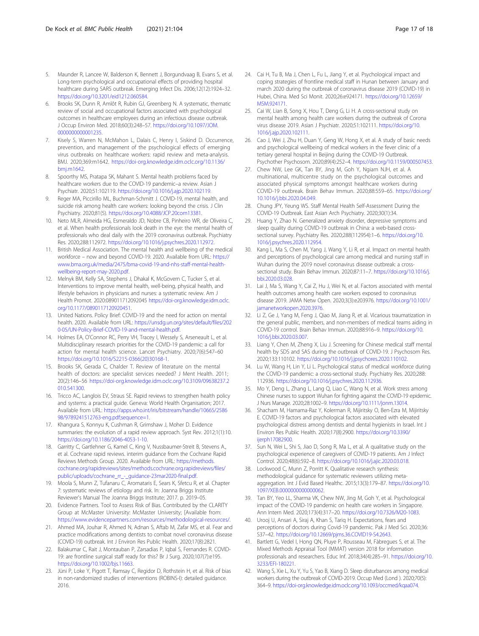- <span id="page-16-0"></span>5. Maunder R, Lancee W, Balderson K, Bennett J, Borgundvaag B, Evans S, et al. Long-term psychological and occupational effects of providing hospital healthcare during SARS outbreak. Emerging Infect Dis. 2006;12(12):1924–32. [https://doi.org/10.3201/eid1212.060584.](https://doi.org/10.3201/eid1212.060584)
- 6. Brooks SK, Dunn R, Amlôt R, Rubin GJ, Greenberg N. A systematic, thematic review of social and occupational factors associated with psychological outcomes in healthcare employees during an infectious disease outbreak. J Occup Environ Med. 2018;60(3):248–57. [https://doi.org/10.1097/JOM.](https://doi.org/10.1097/JOM.0000000000001235) [0000000000001235](https://doi.org/10.1097/JOM.0000000000001235).
- 7. Kisely S, Warren N, McMahon L, Dalais C, Henry I, Siskind D. Occurrence, prevention, and management of the psychological effects of emerging virus outbreaks on healthcare workers: rapid review and meta-analysis. BMJ. 2020;369:m1642. [https://doi-org.knowledge.idm.oclc.org/10.1136/](https://doi-org.knowledge.idm.oclc.org/10.1136/bmj.m1642) [bmj.m1642](https://doi-org.knowledge.idm.oclc.org/10.1136/bmj.m1642).
- 8. Spoorthy MS, Pratapa SK, Mahant S, Mental health problems faced by healthcare workers due to the COVID-19 pandemic–a review. Asian J Psychiatr. 2020;51:102119. [https://doi.org/10.1016/j.ajp.2020.102119.](https://doi.org/10.1016/j.ajp.2020.102119)
- 9. Reger MA, Piccirillo ML, Buchman-Schmitt J. COVID-19, mental health, and suicide risk among health care workers: looking beyond the crisis. J Clin Psychiatry. 2020;81(5). <https://doi.org/10.4088/JCP.20com13381>.
- 10. Neto MLR, Almeida HG, Esmeraldo JD, Nobre CB, Pinheiro WR, de Oliveira C, et al. When health professionals look death in the eye: the mental health of professionals who deal daily with the 2019 coronavirus outbreak. Psychiatry Res. 2020;288:112972. [https://doi.org/10.1016/j.psychres.2020.112972.](https://doi.org/10.1016/j.psychres.2020.112972)
- 11. British Medical Association. The mental health and wellbeing of the medical workforce – now and beyond COVID-19. 2020. Available from URL: [https://](https://www.bma.org.uk/media/2475/bma-covid-19-and-nhs-staff-mental-health-wellbeing-report-may-2020.pdf) [www.bma.org.uk/media/2475/bma-covid-19-and-nhs-staff-mental-health](https://www.bma.org.uk/media/2475/bma-covid-19-and-nhs-staff-mental-health-wellbeing-report-may-2020.pdf)[wellbeing-report-may-2020.pdf.](https://www.bma.org.uk/media/2475/bma-covid-19-and-nhs-staff-mental-health-wellbeing-report-may-2020.pdf)
- 12. Melnyk BM, Kelly SA, Stephens J, Dhakal K, McGovern C, Tucker S, et al. Interventions to improve mental health, well-being, physical health, and lifestyle behaviors in physicians and nurses: a systematic review. Am J Health Promot. 2020:089011712092045 [https://doi-org.knowledge.idm.oclc.](https://doi-org.knowledge.idm.oclc.org/10.1177/0890117120920451) [org/10.1177/0890117120920451.](https://doi-org.knowledge.idm.oclc.org/10.1177/0890117120920451)
- 13. United Nations. Policy Brief: COVID-19 and the need for action on mental health. 2020. Available from URL: [https://unsdg.un.org/sites/default/files/202](https://unsdg.un.org/sites/default/files/2020-05/UN-Policy-Brief-COVID-19-and-mental-health.pdf) [0-05/UN-Policy-Brief-COVID-19-and-mental-health.pdf](https://unsdg.un.org/sites/default/files/2020-05/UN-Policy-Brief-COVID-19-and-mental-health.pdf).
- 14. Holmes EA, O'Connor RC, Perry VH, Tracey I, Wessely S, Arseneault L, et al. Multidisciplinary research priorities for the COVID-19 pandemic: a call for action for mental health science. Lancet Psychiatry. 2020;7(6):547–60 [https://doi.org/10.1016/S2215-0366\(20\)30168-1.](https://doi.org/10.1016/S2215-0366(20)30168-1)
- 15. Brooks SK, Gerada C, Chalder T. Review of literature on the mental health of doctors: are specialist services needed? J Ment Health. 2011; 20(2):146–56 [https://doi-org.knowledge.idm.oclc.org/10.3109/09638237.2](https://doi-org.knowledge.idm.oclc.org/10.3109/09638237.2010.541300) [010.541300](https://doi-org.knowledge.idm.oclc.org/10.3109/09638237.2010.541300).
- 16. Tricco AC, Langlois EV, Straus SE. Rapid reviews to strengthen health policy and systems: a practical guide. Geneva: World Health Organisation; 2017. Available from URL: [https://apps.who.int/iris/bitstream/handle/10665/2586](https://apps.who.int/iris/bitstream/handle/10665/258698/9789241512763-eng.pdf;sequence=1) [98/9789241512763-eng.pdf;sequence=1](https://apps.who.int/iris/bitstream/handle/10665/258698/9789241512763-eng.pdf;sequence=1).
- 17. Khangura S, Konnyu K, Cushman R, Grimshaw J, Moher D. Evidence summaries: the evolution of a rapid review approach. Syst Rev. 2012;1(1):10. [https://doi.org/10.1186/2046-4053-1-10.](https://doi.org/10.1186/2046-4053-1-10)
- 18. Garritty C, Gartlehner G, Kamel C, King V, Nussbaumer-Streit B, Stevens A., et al. Cochrane rapid reviews. interim guidance from the Cochrane Rapid Reviews Methods Group. 2020. Available from URL: [https://methods.](https://methods.cochrane.org/rapidreviews/sites/methods.cochrane.org.rapidreviews/files/public/uploads/cochrane_rr_-_guidance-23mar2020-final.pdf) [cochrane.org/rapidreviews/sites/methods.cochrane.org.rapidreviews/files/](https://methods.cochrane.org/rapidreviews/sites/methods.cochrane.org.rapidreviews/files/public/uploads/cochrane_rr_-_guidance-23mar2020-final.pdf) [public/uploads/cochrane\\_rr\\_-\\_guidance-23mar2020-final.pdf](https://methods.cochrane.org/rapidreviews/sites/methods.cochrane.org.rapidreviews/files/public/uploads/cochrane_rr_-_guidance-23mar2020-final.pdf).
- 19. Moola S, Munn Z, Tufanaru C, Aromataris E, Sears K, Sfetcu R, et al. Chapter 7: systematic reviews of etiology and risk. In: Joanna Briggs Institute Reviewer's Manual The Joanna Briggs Institute; 2017. p. 2019–05.
- 20. Evidence Partners. Tool to Assess Risk of Bias. Contributed by the CLARITY Group at McMaster University: McMaster University; [Available from: [https://www.evidencepartners.com/resources/methodological-resources/.](https://www.evidencepartners.com/resources/methodological-resources/)
- 21. Ahmed MA, Jouhar R, Ahmed N, Adnan S, Aftab M, Zafar MS, et al. Fear and practice modifications among dentists to combat novel coronavirus disease (COVID-19) outbreak. Int J Environ Res Public Health. 2020;17(8):2821.
- 22. Balakumar C, Rait J, Montauban P, Zarsadias P, Iqbal S, Fernandes R. COVID-19: are frontline surgical staff ready for this? Br J Surg. 2020;107(7):e195. <https://doi.org/10.1002/bjs.11663>.
- 23. Jüni P, Loke Y, Pigott T, Ramsay C, Regidor D, Rothstein H, et al. Risk of bias in non-randomized studies of interventions (ROBINS-I): detailed guidance. 2016.
- 24. Cai H, Tu B, Ma J, Chen L, Fu L, Jiang Y, et al. Psychological impact and coping strategies of frontline medical staff in Hunan between January and march 2020 during the outbreak of coronavirus disease 2019 (COVID-19) in Hubei, China. Med Sci Monit. 2020;26:e924171. [https://doi.org/10.12659/](https://doi.org/10.12659/MSM.924171) [MSM.924171.](https://doi.org/10.12659/MSM.924171)
- 25. Cai W, Lian B, Song X, Hou T, Deng G, Li H. A cross-sectional study on mental health among health care workers during the outbreak of Corona virus disease 2019. Asian J Psychiatr. 2020;51:102111. [https://doi.org/10.](https://doi.org/10.1016/j.ajp.2020.102111) [1016/j.ajp.2020.102111.](https://doi.org/10.1016/j.ajp.2020.102111)
- 26. Cao J, Wei J, Zhu H, Duan Y, Geng W, Hong X, et al. A study of basic needs and psychological wellbeing of medical workers in the fever clinic of a tertiary general hospital in Beijing during the COVID-19 Outbreak. Psychother Psychosom. 2020;89(4):252–4. <https://doi.org/10.1159/000507453>.
- 27. Chew NW, Lee GK, Tan BY, Jing M, Goh Y, Ngiam NJH, et al. A multinational, multicentre study on the psychological outcomes and associated physical symptoms amongst healthcare workers during COVID-19 outbreak. Brain Behav Immun. 2020;88:559–65. [https://doi.org/](https://doi.org/10.1016/j.bbi.2020.04.049) [10.1016/j.bbi.2020.04.049](https://doi.org/10.1016/j.bbi.2020.04.049).
- 28. Chung JPY, Yeung WS. Staff Mental Health Self-Assessment During the COVID-19 Outbreak. East Asian Arch Psychiatry. 2020;30(1):34.
- 29. Huang Y, Zhao N. Generalized anxiety disorder, depressive symptoms and sleep quality during COVID-19 outbreak in China: a web-based crosssectional survey. Psychiatry Res. 2020;288(112954):1–6. [https://doi.org/10.](https://doi.org/10.1016/j.psychres.2020.112954) [1016/j.psychres.2020.112954.](https://doi.org/10.1016/j.psychres.2020.112954)
- 30. Kang L, Ma S, Chen M, Yang J, Wang Y, Li R, et al. Impact on mental health and perceptions of psychological care among medical and nursing staff in Wuhan during the 2019 novel coronavirus disease outbreak: a crosssectional study. Brain Behav Immun. 2020;87:11–7. [https://doi.org/10.1016/j.](https://doi.org/10.1016/j.bbi.2020.03.028) [bbi.2020.03.028](https://doi.org/10.1016/j.bbi.2020.03.028).
- 31. Lai J, Ma S, Wang Y, Cai Z, Hu J, Wei N, et al. Factors associated with mental health outcomes among health care workers exposed to coronavirus disease 2019. JAMA Netw Open. 2020;3(3):e203976. [https://doi.org/10.1001/](https://doi.org/10.1001/jamanetworkopen.2020.3976) [jamanetworkopen.2020.3976](https://doi.org/10.1001/jamanetworkopen.2020.3976).
- 32. Li Z, Ge J, Yang M, Feng J, Qiao M, Jiang R, et al. Vicarious traumatization in the general public, members, and non-members of medical teams aiding in COVID-19 control. Brain Behav Immun. 2020;88:916–9. [https://doi.org/10.](https://doi.org/10.1016/j.bbi.2020.03.007) [1016/j.bbi.2020.03.007.](https://doi.org/10.1016/j.bbi.2020.03.007)
- 33. Liang Y, Chen M, Zheng X, Liu J. Screening for Chinese medical staff mental health by SDS and SAS during the outbreak of COVID-19. J Psychosom Res. 2020;133:110102. [https://doi.org/10.1016/j.jpsychores.2020.110102.](https://doi.org/10.1016/j.jpsychores.2020.110102)
- 34. Lu W, Wang H, Lin Y, Li L. Psychological status of medical workforce during the COVID-19 pandemic: a cross-sectional study. Psychiatry Res. 2020;288: 112936. <https://doi.org/10.1016/j.psychres.2020.112936>.
- 35. Mo Y, Deng L, Zhang L, Lang Q, Liao C, Wang N, et al. Work stress among Chinese nurses to support Wuhan for fighting against the COVID-19 epidemic. J Nurs Manage. 2020;28:1002–9. <https://doi.org/10.1111/jonm.13014>.
- 36. Shacham M, Hamama-Raz Y, Kolerman R, Mijiritsky O, Ben-Ezra M, Mijiritsky E. COVID-19 factors and psychological factors associated with elevated psychological distress among dentists and dental hygienists in Israel. Int J Environ Res Public Health. 2020;17(8):2900. [https://doi.org/10.3390/](https://doi.org/10.3390/ijerph17082900) [ijerph17082900](https://doi.org/10.3390/ijerph17082900).
- 37. Sun N, Wei L, Shi S, Jiao D, Song R, Ma L, et al. A qualitative study on the psychological experience of caregivers of COVID-19 patients. Am J Infect Control. 2020;48(6):592–8. <https://doi.org/10.1016/j.ajic.2020.03.018>.
- 38. Lockwood C, Munn Z, Porritt K. Qualitative research synthesis: methodological guidance for systematic reviewers utilizing metaaggregation. Int J Evid Based Healthc. 2015;13(3):179–87. [https://doi.org/10.](https://doi.org/10.1097/XEB.0000000000000062) [1097/XEB.0000000000000062](https://doi.org/10.1097/XEB.0000000000000062).
- 39. Tan BY, Yeo LL, Sharma VK, Chew NW, Jing M, Goh Y, et al. Psychological impact of the COVID-19 pandemic on health care workers in Singapore. Ann Intern Med. 2020;173(4):317–20. <https://doi.org/10.7326/M20-1083>.
- 40. Urooj U, Ansari A, Siraj A, Khan S, Tariq H. Expectations, fears and perceptions of doctors during Covid-19 pandemic. Pak J Med Sci. 2020;36: S37–42. [https://doi.org/10.12669/pjms.36.COVID19-S4.2643.](https://doi.org/10.12669/pjms.36.COVID19-S4.2643)
- 41. Bartlett G, Vedel I, Hong QN, Pluye P, Rousseau M, Fàbregues S, et al. The Mixed Methods Appraisal Tool (MMAT) version 2018 for information professionals and researchers. Educ Inf. 2018;34(4):285–91. [https://doi.org/10.](https://doi.org/10.3233/EFI-180221) [3233/EFI-180221](https://doi.org/10.3233/EFI-180221).
- 42. Wang S, Xie L, Xu Y, Yu S, Yao B, Xiang D. Sleep disturbances among medical workers during the outbreak of COVID-2019. Occup Med (Lond ). 2020;70(5): 364–9. [https://doi-org.knowledge.idm.oclc.org/10.1093/occmed/kqaa074.](https://doi-org.knowledge.idm.oclc.org/10.1093/occmed/kqaa074)